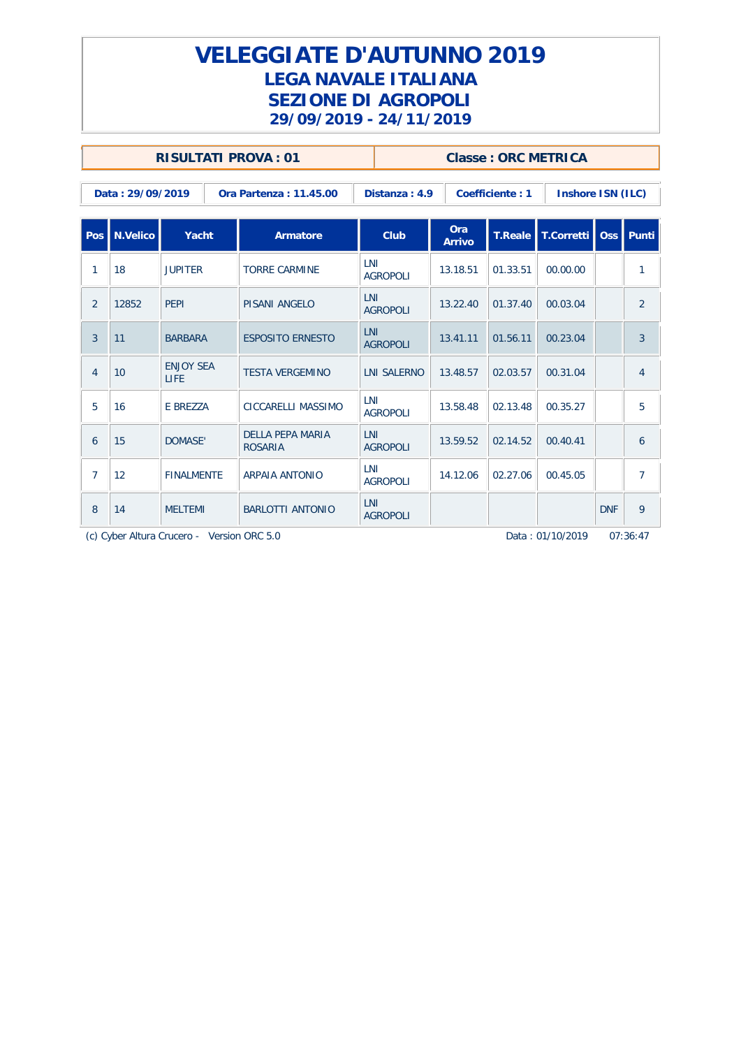### **VELEGGIATE D'AUTUNNO 2019 LEGA NAVALE ITALIANA SEZIONE DI AGROPOLI 29/09/2019 - 24/11/2019**

|                |                  |                          | <b>RISULTATI PROVA: 01</b>                |                               |               |                 | <b>Classe: ORC METRICA</b> |            |                |
|----------------|------------------|--------------------------|-------------------------------------------|-------------------------------|---------------|-----------------|----------------------------|------------|----------------|
|                | Data: 29/09/2019 |                          | Ora Partenza: 11.45.00                    | Distanza: 4.9                 |               | Coefficiente: 1 | Inshore ISN (ILC)          |            |                |
| Pos            | N.Velico         | Yacht                    | <b>Armatore</b>                           | Club                          | Ora<br>Arrivo | <b>T.Reale</b>  | T.Corretti   Oss           |            | l Punti        |
| 1              | 18               | <b>JUPITER</b>           | <b>TORRE CARMINE</b>                      | LNI<br><b>AGROPOLI</b>        | 13.18.51      | 01.33.51        | 00.00.00                   |            | $\mathbf{1}$   |
| $\overline{2}$ | 12852            | PEPI                     | PISANI ANGELO                             | LNI<br><b>AGROPOLI</b>        | 13.22.40      | 01.37.40        | 00.03.04                   |            | $\overline{2}$ |
| 3              | 11               | <b>BARBARA</b>           | <b>ESPOSITO ERNESTO</b>                   | <b>LNI</b><br><b>AGROPOLI</b> | 13.41.11      | 01.56.11        | 00.23.04                   |            | 3              |
| $\overline{4}$ | 10               | <b>ENJOY SEA</b><br>LIFE | <b>TESTA VERGEMINO</b>                    | <b>LNI SALERNO</b>            | 13.48.57      | 02.03.57        | 00.31.04                   |            | $\overline{4}$ |
| 5              | 16               | E BREZZA                 | CICCARELLI MASSIMO                        | LNI<br><b>AGROPOLI</b>        | 13.58.48      | 02.13.48        | 00.35.27                   |            | 5              |
| 6              | 15               | <b>DOMASE'</b>           | <b>DELLA PEPA MARIA</b><br><b>ROSARIA</b> | LNI<br><b>AGROPOLI</b>        | 13.59.52      | 02.14.52        | 00.40.41                   |            | 6              |
| 7              | 12               | <b>FINALMENTE</b>        | ARPAIA ANTONIO                            | LNI<br><b>AGROPOLI</b>        | 14.12.06      | 02.27.06        | 00.45.05                   |            | 7              |
| 8              | 14               | <b>MELTEMI</b>           | BARLOTTI ANTONIO                          | LNI<br><b>AGROPOLI</b>        |               |                 |                            | <b>DNF</b> | 9              |

(c) Cyber Altura Crucero - Version ORC 5.0 2012 Data : 01/10/2019 07:36:47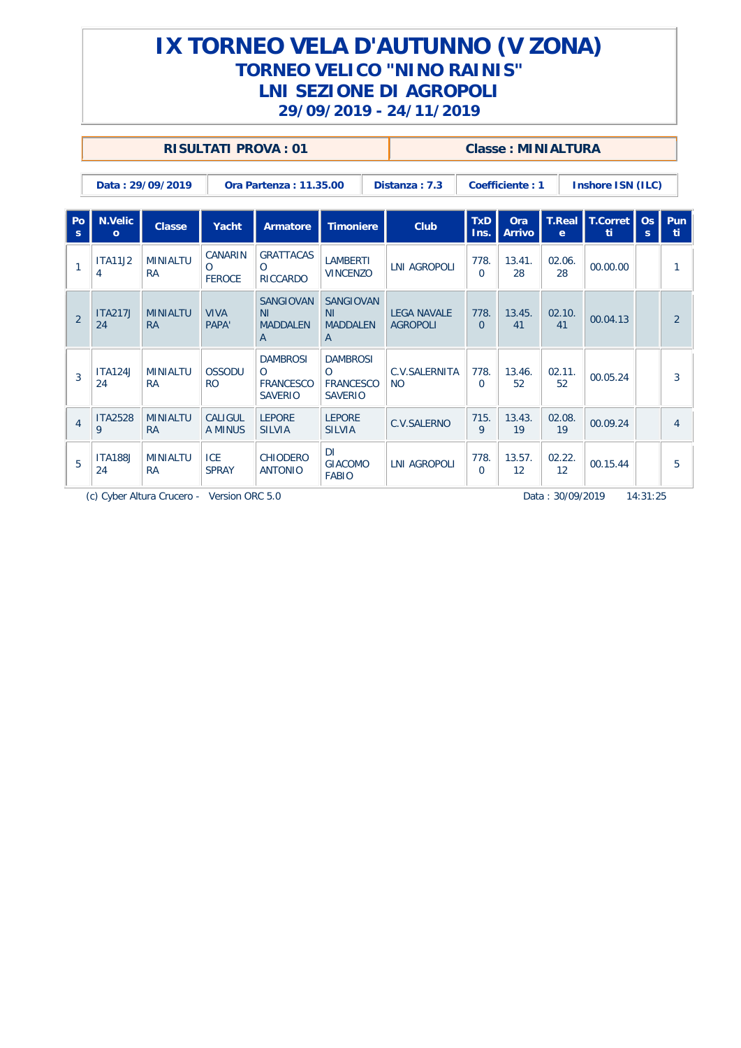|                    |                         |                                            | <b>RISULTATI PROVA: 01</b>           |                                                                     |                                                                                                                                  |                     |                                       |                      | Classe: MINIALTURA   |                               |                   |         |                |
|--------------------|-------------------------|--------------------------------------------|--------------------------------------|---------------------------------------------------------------------|----------------------------------------------------------------------------------------------------------------------------------|---------------------|---------------------------------------|----------------------|----------------------|-------------------------------|-------------------|---------|----------------|
|                    |                         | Data: 29/09/2019                           |                                      | Ora Partenza: 11.35.00                                              |                                                                                                                                  |                     | Distanza: 7.3                         |                      | Coefficiente: 1      |                               | Inshore ISN (ILC) |         |                |
| Po<br><sub>S</sub> | N.Velic<br>$\mathbf{o}$ | <b>Classe</b>                              | Yacht                                | Armatore                                                            | <b>Timoniere</b>                                                                                                                 |                     | Club                                  | <b>TxD</b><br>Ins.   | Ora<br><b>Arrivo</b> | <b>T.Real</b><br>$\mathbf{e}$ | T.Corret<br>-ti   | OS<br>s | Pun<br>ti.     |
| $\mathbf{1}$       | <b>ITA11J2</b><br>4     | <b>MINIALTU</b><br><b>RA</b>               | CANARIN<br>$\Omega$<br><b>FEROCE</b> | <b>GRATTACAS</b><br>$\Omega$<br><b>RICCARDO</b>                     |                                                                                                                                  |                     | <b>LNI AGROPOLI</b>                   | 778.<br>$\Omega$     | 13.41.<br>28         | 02.06.<br>28                  | 00.00.00          |         |                |
| $\overline{2}$     | <b>ITA217J</b><br>24    | <b>MINIALTU</b><br><b>RA</b>               | <b>VIVA</b><br>PAPA'                 | <b>SANGIOVAN</b><br>NI<br><b>MADDALEN</b><br>A                      | <b>LAMBERTI</b><br><b>VINCENZO</b><br><b>SANGIOVAN</b><br>N <sub>1</sub><br><b>MADDALEN</b><br>$\overline{A}$<br><b>DAMBROSI</b> |                     | <b>LEGA NAVALE</b><br><b>AGROPOLI</b> | 778.<br>$\Omega$     | 13.45.<br>41         | 02.10.<br>41                  | 00.04.13          |         | $\overline{2}$ |
| $\overline{3}$     | <b>ITA124J</b><br>24    | <b>MINIALTU</b><br><b>RA</b>               | <b>OSSODU</b><br>R <sub>O</sub>      | <b>DAMBROSI</b><br>$\Omega$<br><b>FRANCESCO</b><br><b>SAVERIO</b>   | $\Omega$<br><b>FRANCESCO</b><br><b>SAVERIO</b>                                                                                   |                     | C.V.SALERNITA<br><b>NO</b>            | 778.<br>$\Omega$     | 13.46.<br>52         | 02.11.<br>52                  | 00.05.24          |         | 3              |
| $\overline{4}$     | <b>ITA2528</b><br>9     | <b>MINIALTU</b><br><b>RA</b>               | CALIGUL<br>A MINUS                   | <b>LEPORE</b><br><b>SILVIA</b>                                      | <b>LEPORE</b><br><b>SILVIA</b>                                                                                                   |                     | <b>C.V.SALERNO</b>                    | 715.<br>$\mathsf{Q}$ | 13.43.<br>19         | 02.08.<br>19                  | 00.09.24          |         | $\overline{4}$ |
| 5                  | <b>ITA188J</b><br>24    | <b>MINIALTU</b><br><b>RA</b>               | <b>ICE</b><br><b>SPRAY</b>           | DI.<br>CHIODERO<br><b>GIACOMO</b><br><b>ANTONIO</b><br><b>FABIO</b> |                                                                                                                                  | <b>LNI AGROPOLI</b> | 778.<br>$\Omega$                      | 13.57.<br>12         | 02.22.<br>12         | 00.15.44                      |                   | 5       |                |
|                    |                         | (c) Cyber Altura Crucero - Version ORC 5.0 |                                      |                                                                     |                                                                                                                                  |                     |                                       | Data: 30/09/2019     |                      | 14:31:25                      |                   |         |                |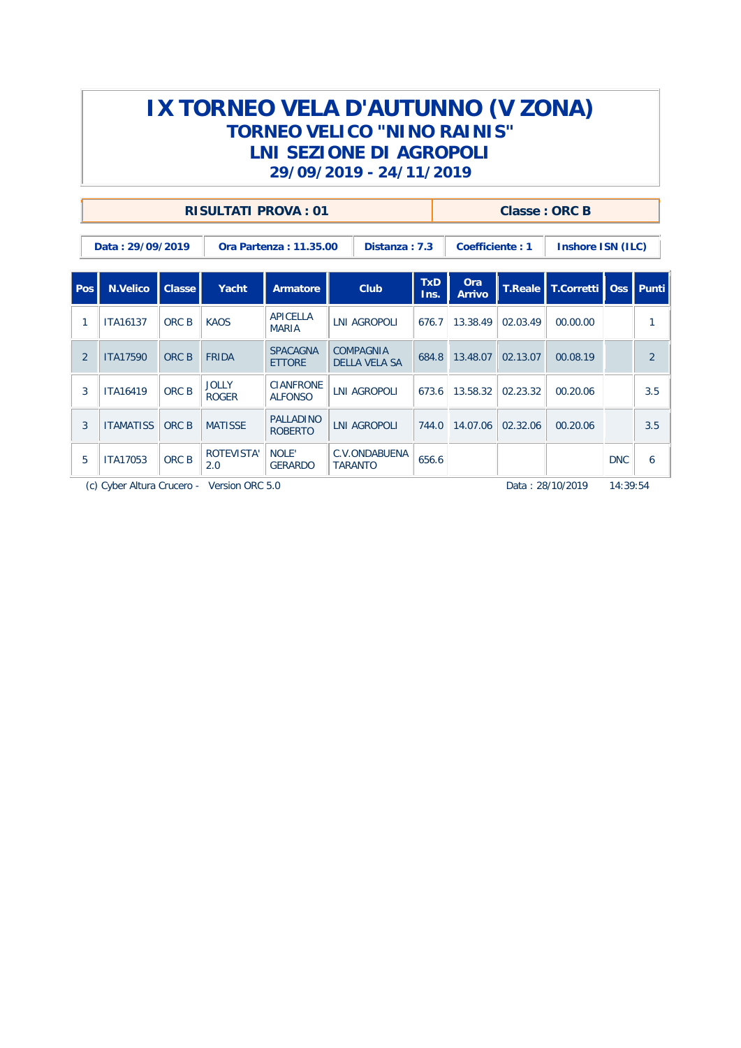|                |                                                 |       | RISULTATI PROVA: 01          |                                    |                     |                                   |                    |                   | Classe: ORC B |                                    |            |                |
|----------------|-------------------------------------------------|-------|------------------------------|------------------------------------|---------------------|-----------------------------------|--------------------|-------------------|---------------|------------------------------------|------------|----------------|
|                | Data: 29/09/2019                                |       |                              | Ora Partenza : 11.35.00            |                     | Distanza: 7.3                     |                    | Coefficiente: 1   |               | Inshore ISN (ILC)                  |            |                |
| Pos            | N.Velico<br>Club<br>Classe<br>Yacht<br>Armatore |       |                              |                                    |                     |                                   | <b>TxD</b><br>Ins. | Ora<br>Arrivo     |               | T.Reale   T.Corretti   Oss   Punti |            |                |
|                | <b>ITA16137</b>                                 | ORC B | <b>KAOS</b>                  | <b>APICELLA</b><br><b>MARIA</b>    |                     | <b>LNI AGROPOLI</b>               |                    | 13.38.49<br>676.7 | 02.03.49      | 00.00.00                           |            | 1              |
| $\overline{2}$ | <b>ITA17590</b>                                 | ORC B | <b>FRIDA</b>                 | <b>SPACAGNA</b><br><b>ETTORE</b>   |                     | COMPAGNIA<br><b>DELLA VELA SA</b> | 684.8              | 13.48.07          | 02.13.07      | 00.08.19                           |            | $\overline{2}$ |
| 3              | <b>ITA16419</b>                                 | ORC B | <b>JOLLY</b><br><b>ROGER</b> | <b>CIANFRONE</b><br><b>ALFONSO</b> |                     | <b>LNI AGROPOLI</b>               | 673.6              | 13.58.32          | 02.23.32      | 00.20.06                           |            | 3.5            |
| 3              | <b>ITAMATISS</b>                                | ORC B | <b>MATISSE</b>               | <b>PALLADINO</b><br><b>ROBERTO</b> | <b>LNI AGROPOLI</b> |                                   | 744.0              | 14.07.06          | 02.32.06      | 00.20.06                           |            | 3.5            |
| 5              | <b>ITA17053</b>                                 | ORC B | ROTEVISTA'<br>2.0            | NOLE'<br><b>GERARDO</b>            |                     | C.V.ONDABUENA<br><b>TARANTO</b>   | 656.6              |                   |               |                                    | <b>DNC</b> | 6              |

(c) Cyber Altura Crucero - Version ORC 5.0 77II-L920 Data : 28/10/2019 14:39:54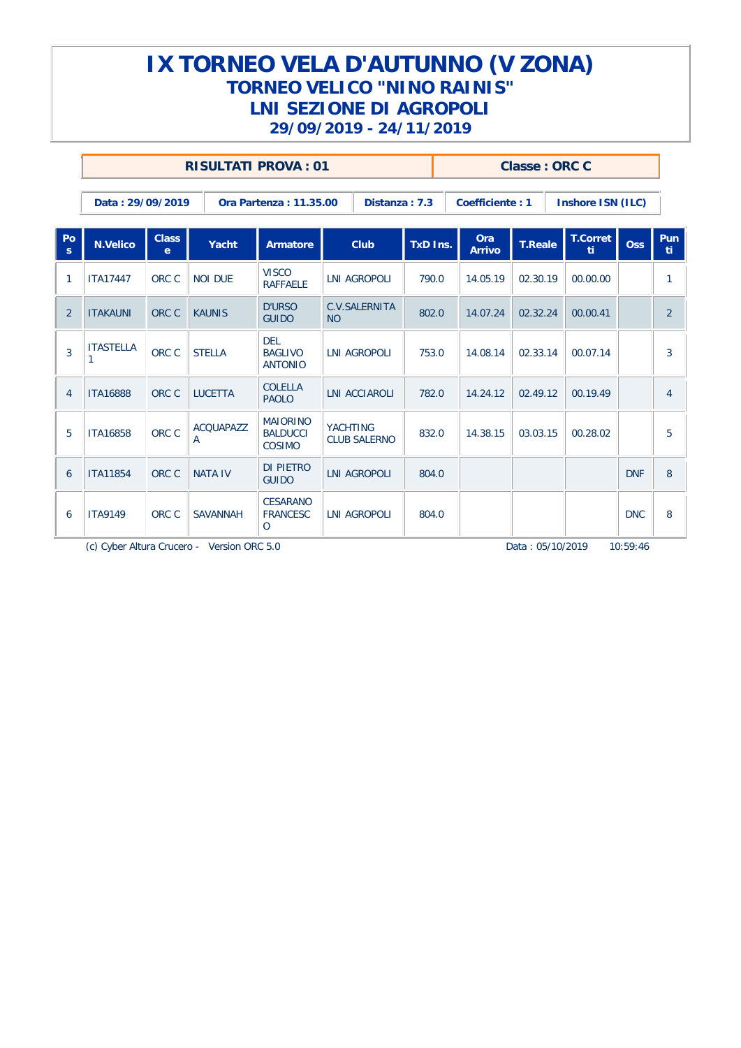|                    |                       |                              | <b>RISULTATI PROVA: 01</b> |                                                |                 |                                            |          |       |                             | Classe: ORC C  |                       |            |                |
|--------------------|-----------------------|------------------------------|----------------------------|------------------------------------------------|-----------------|--------------------------------------------|----------|-------|-----------------------------|----------------|-----------------------|------------|----------------|
|                    | Data: 29/09/2019      |                              |                            | Ora Partenza: 11.35.00                         |                 | Distanza: 7.3                              |          |       | Coefficiente: 1             |                | Inshore ISN (ILC)     |            |                |
| Po<br>$\mathbf{s}$ | <b>N.Velico</b>       | <b>Class</b><br>$\mathbf{e}$ | Yacht                      | Armatore                                       |                 | Club                                       | TxD Ins. |       | <b>Ora</b><br><b>Arrivo</b> | <b>T.Reale</b> | <b>T.Corret</b><br>ti | Oss        | Pun<br>ti.     |
| 1                  | <b>ITA17447</b>       | ORC C                        | <b>NOI DUE</b>             | <b>VISCO</b><br><b>RAFFAELE</b>                |                 | <b>LNI AGROPOLI</b><br>C.V.SALERNITA       |          | 790.0 | 14.05.19                    | 02.30.19       | 00.00.00              |            | 1              |
| $\overline{2}$     | <b>ITAKAUNI</b>       | ORC C                        | <b>KAUNIS</b>              | <b>D'URSO</b><br><b>GUIDO</b>                  | <b>NO</b>       |                                            | 802.0    |       | 14.07.24                    | 02.32.24       | 00.00.41              |            | 2              |
| 3                  | <b>ITASTELLA</b><br>1 | ORC C                        | <b>STELLA</b>              | <b>DEL</b><br><b>BAGLIVO</b><br><b>ANTONIO</b> |                 | <b>LNI AGROPOLI</b>                        |          | 753.0 | 14.08.14                    | 02.33.14       | 00.07.14              |            | 3              |
| 4                  | <b>ITA16888</b>       | ORC C                        | <b>LUCETTA</b>             | <b>COLELLA</b><br><b>PAOLO</b>                 |                 | <b>LNI ACCIAROLI</b>                       | 782.0    |       | 14.24.12                    | 02.49.12       | 00.19.49              |            | $\overline{4}$ |
| 5                  | <b>ITA16858</b>       | ORC C                        | <b>ACQUAPAZZ</b><br>A      | <b>MAIORINO</b><br><b>BALDUCCI</b><br>COSIMO   | <b>YACHTING</b> | <b>CLUB SALERNO</b>                        | 832.0    |       | 14.38.15                    | 03.03.15       | 00.28.02              |            | 5              |
| 6                  | <b>ITA11854</b>       | ORC C                        | <b>NATA IV</b>             | <b>DI PIETRO</b><br><b>GUIDO</b>               |                 |                                            | 804.0    |       |                             |                |                       | <b>DNF</b> | 8              |
| 6                  | <b>ITA9149</b>        | ORC C                        | <b>SAVANNAH</b>            | <b>CESARANO</b><br><b>FRANCESC</b><br>$\circ$  |                 | <b>LNI AGROPOLI</b><br><b>LNI AGROPOLI</b> |          | 804.0 |                             |                |                       | <b>DNC</b> | 8              |

(c) Cyber Altura Crucero - Version ORC 5.0 77II-L920 Data : 05/10/2019 10:59:46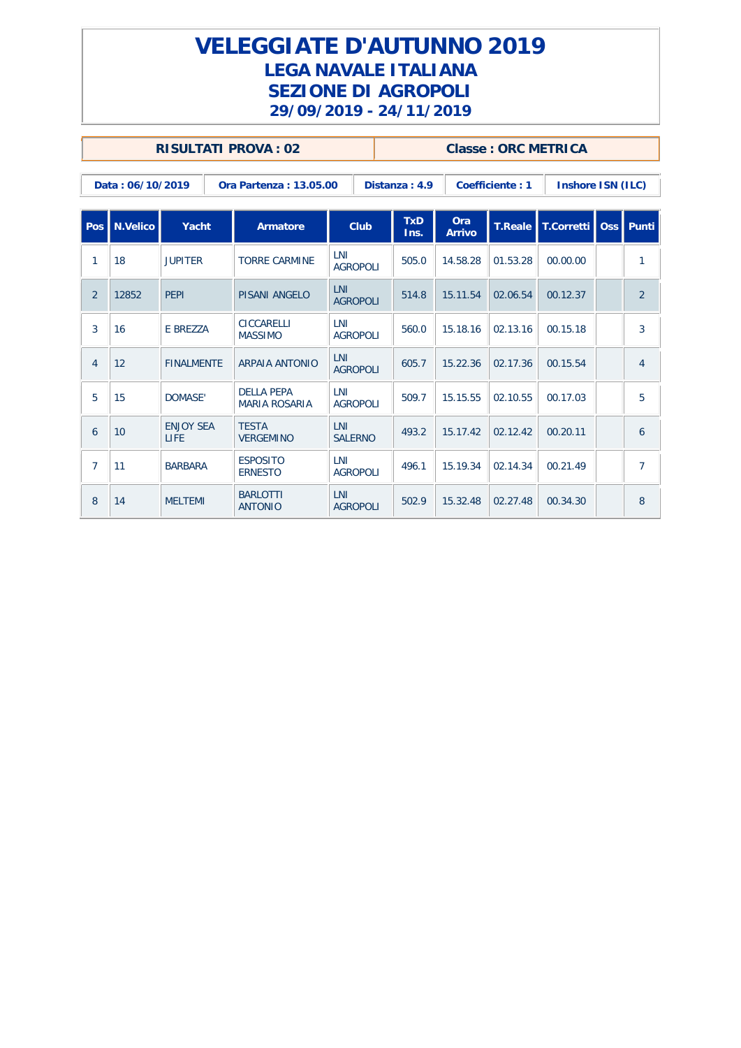### **VELEGGIATE D'AUTUNNO 2019 LEGA NAVALE ITALIANA SEZIONE DI AGROPOLI 29/09/2019 - 24/11/2019**

|                |                  | <b>RISULTATI PROVA: 02</b>      |                                           |                               |                    |                             |                 | <b>Classe: ORC METRICA</b> |                |
|----------------|------------------|---------------------------------|-------------------------------------------|-------------------------------|--------------------|-----------------------------|-----------------|----------------------------|----------------|
|                | Data: 06/10/2019 |                                 | Ora Partenza: 13.05.00                    |                               | Distanza: 4.9      |                             | Coefficiente: 1 | Inshore ISN (ILC)          |                |
|                | Pos   N.Velico   | Yacht                           | Armatore                                  | <b>Club</b>                   | <b>TxD</b><br>Ins. | <b>Ora</b><br><b>Arrivo</b> | <b>T.Reale</b>  | T.Corretti                 | Oss Punti      |
| 1              | 18               | <b>JUPITER</b>                  | <b>TORRE CARMINE</b>                      | LNI<br><b>AGROPOLI</b>        | 505.0              | 14.58.28                    | 01.53.28        | 00.00.00                   | 1              |
| $\overline{2}$ | 12852            | <b>PEPI</b>                     | PISANI ANGELO                             | <b>LNI</b><br><b>AGROPOLI</b> | 514.8              | 15.11.54                    | 02.06.54        | 00.12.37                   | 2              |
| 3              | 16               | E BREZZA                        | <b>CICCARELLI</b><br><b>MASSIMO</b>       | LNI<br><b>AGROPOLI</b>        | 560.0              | 15.18.16                    | 02.13.16        | 00.15.18                   | $\overline{3}$ |
| $\overline{4}$ | 12               | <b>FINALMENTE</b>               | <b>ARPAIA ANTONIO</b>                     | <b>LNI</b><br><b>AGROPOLI</b> | 605.7              | 15.22.36                    | 02.17.36        | 00.15.54                   | $\overline{4}$ |
| 5              | 15               | DOMASE'                         | <b>DELLA PEPA</b><br><b>MARIA ROSARIA</b> | LNI<br><b>AGROPOLI</b>        | 509.7              | 15.15.55                    | 02.10.55        | 00.17.03                   | 5              |
| 6              | 10               | <b>ENJOY SEA</b><br><b>LIFE</b> | <b>TESTA</b><br><b>VERGEMINO</b>          | LNI<br><b>SALERNO</b>         | 493.2              | 15.17.42                    | 02.12.42        | 00.20.11                   | 6              |
| $\overline{7}$ | 11               | <b>BARBARA</b>                  | <b>ESPOSITO</b><br><b>ERNESTO</b>         | LNI<br><b>AGROPOLI</b>        | 496.1              | 15.19.34                    | 02.14.34        | 00.21.49                   | $\overline{7}$ |
| 8              | 14               | <b>MELTEMI</b>                  | <b>BARLOTTI</b><br><b>ANTONIO</b>         | LNI<br><b>AGROPOLI</b>        | 502.9              | 15.32.48                    | 02.27.48        | 00.34.30                   | 8              |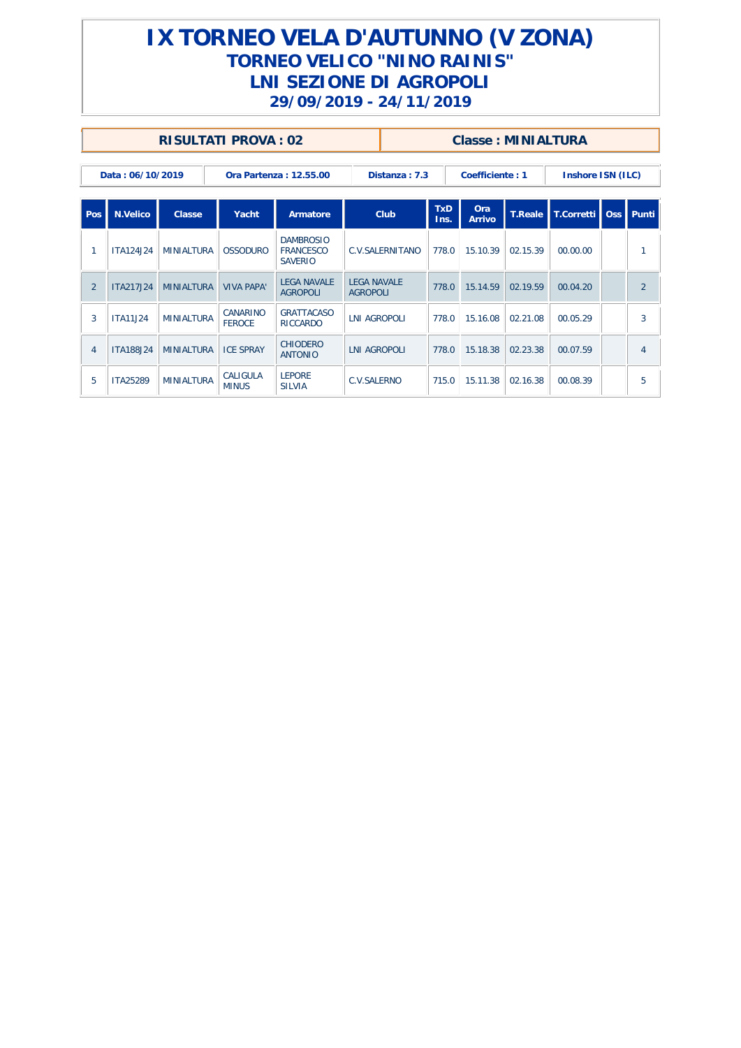|                |                  | RISULTATI PROVA: 02 |                           |                                                        |                                       |                 |                    | Classe: MINIALTURA   |                |                   |                |
|----------------|------------------|---------------------|---------------------------|--------------------------------------------------------|---------------------------------------|-----------------|--------------------|----------------------|----------------|-------------------|----------------|
|                | Data: 06/10/2019 |                     |                           | Ora Partenza: 12.55.00                                 |                                       | Distanza: 7.3   |                    | Coefficiente: 1      |                | Inshore ISN (ILC) |                |
| l Pos          | N.Velico         | Classe              | Yacht                     | Armatore                                               |                                       | Club            | <b>TxD</b><br>Ins. | Ora<br><b>Arrivo</b> | <b>T.Reale</b> | T.Corretti        | Oss Punti      |
| -1             | <b>ITA124J24</b> | <b>MINIALTURA</b>   | <b>OSSODURO</b>           | <b>DAMBROSIO</b><br><b>FRANCESCO</b><br><b>SAVERIO</b> |                                       | C.V.SALERNITANO | 778.0              | 15.10.39             | 02.15.39       | 00.00.00          | 1              |
| 2              | <b>ITA217J24</b> | <b>MINIALTURA</b>   | <b>VIVA PAPA'</b>         | <b>LEGA NAVALE</b><br><b>AGROPOLI</b>                  | <b>LEGA NAVALE</b><br><b>AGROPOLI</b> |                 | 778.0              | 15.14.59             | 02.19.59       | 00.04.20          | $\overline{2}$ |
| 3              | <b>ITA11J24</b>  | <b>MINIALTURA</b>   | CANARINO<br><b>FEROCE</b> | <b>GRATTACASO</b><br><b>RICCARDO</b>                   | <b>LNI AGROPOLI</b>                   |                 | 778.0              | 15.16.08             | 02.21.08       | 00.05.29          | 3              |
| $\overline{4}$ | <b>ITA188J24</b> | <b>MINIALTURA</b>   | <b>ICE SPRAY</b>          | <b>CHIODERO</b><br><b>ANTONIO</b>                      | <b>LNI AGROPOLI</b>                   |                 | 778.0              | 15.18.38             | 02.23.38       | 00.07.59          | $\overline{4}$ |
| 5              | <b>ITA25289</b>  | <b>MINIALTURA</b>   | CALIGULA<br><b>MINUS</b>  | <b>LEPORE</b><br><b>SILVIA</b>                         | C.V.SALERNO                           |                 | 715.0              | 15.11.38             | 02.16.38       | 00.08.39          | 5              |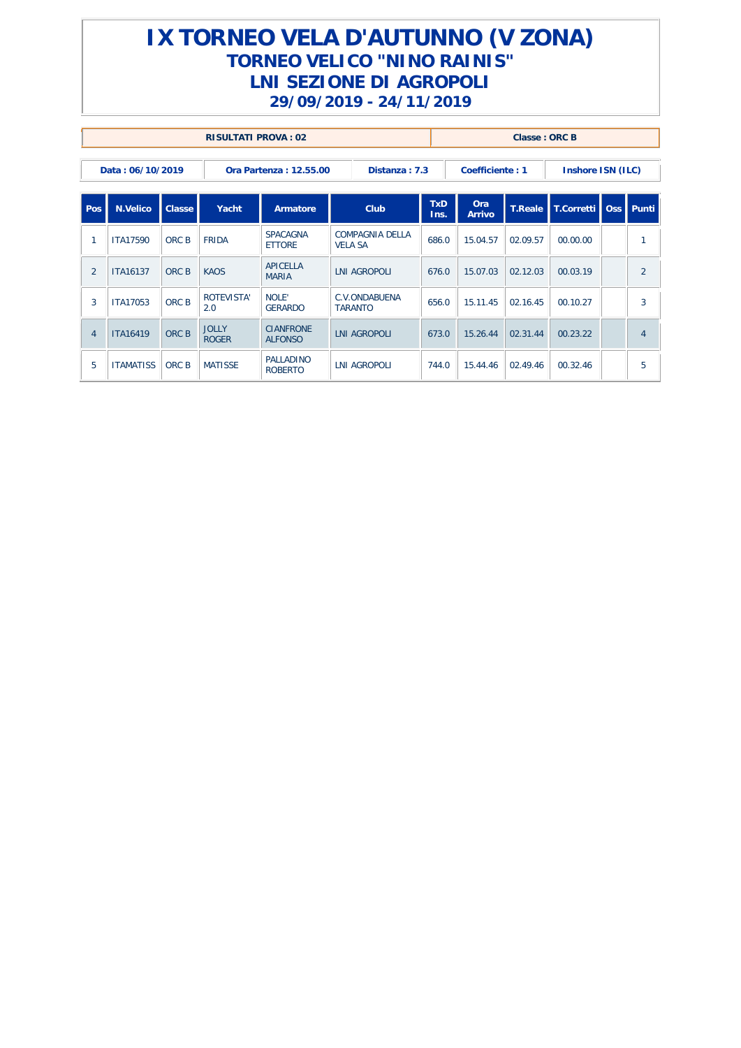|                |                  |                                            | <b>RISULTATI PROVA: 02</b>   |                                    |                                          |                |                 | Classe: ORC B |                   |                |
|----------------|------------------|--------------------------------------------|------------------------------|------------------------------------|------------------------------------------|----------------|-----------------|---------------|-------------------|----------------|
|                | Data: 06/10/2019 |                                            |                              | Ora Partenza: 12.55.00             | Distanza: 7.3                            |                | Coefficiente: 1 |               | Inshore ISN (ILC) |                |
| Pos            | <b>N.Velico</b>  | <b>Classe</b><br>Club<br>Yacht<br>Armatore |                              | <b>TxD</b><br>Ins.                 | Ora<br><b>Arrivo</b>                     | <b>T.Reale</b> | T.Corretti      | Oss Punti     |                   |                |
| $\mathbf{1}$   | <b>ITA17590</b>  | ORC B                                      | <b>FRIDA</b>                 | <b>SPACAGNA</b><br><b>ETTORE</b>   | <b>COMPAGNIA DELLA</b><br><b>VELA SA</b> | 686.0          | 15.04.57        | 02.09.57      | 00.00.00          | 1              |
| 2              | <b>ITA16137</b>  | ORC B                                      | <b>KAOS</b>                  | APICELLA<br><b>MARIA</b>           | <b>LNI AGROPOLI</b>                      | 676.0          | 15.07.03        | 02.12.03      | 00.03.19          | $\overline{2}$ |
| 3              | <b>ITA17053</b>  | ORC B                                      | ROTEVISTA'<br>2.0            | NOLF'<br><b>GERARDO</b>            | C.V.ONDABUENA<br><b>TARANTO</b>          | 656.0          | 15.11.45        | 02.16.45      | 00.10.27          | 3              |
| $\overline{4}$ | <b>ITA16419</b>  | ORC B                                      | <b>JOLLY</b><br><b>ROGER</b> | <b>CIANFRONE</b><br><b>ALFONSO</b> | LNI AGROPOLI                             | 673.0          | 15.26.44        | 02.31.44      | 00.23.22          | $\overline{4}$ |
| 5              | <b>ITAMATISS</b> | ORC B                                      | <b>MATISSE</b>               | PALLADINO<br><b>ROBERTO</b>        | <b>LNI AGROPOLI</b><br>744.0             |                | 15.44.46        | 02.49.46      | 00.32.46          | 5              |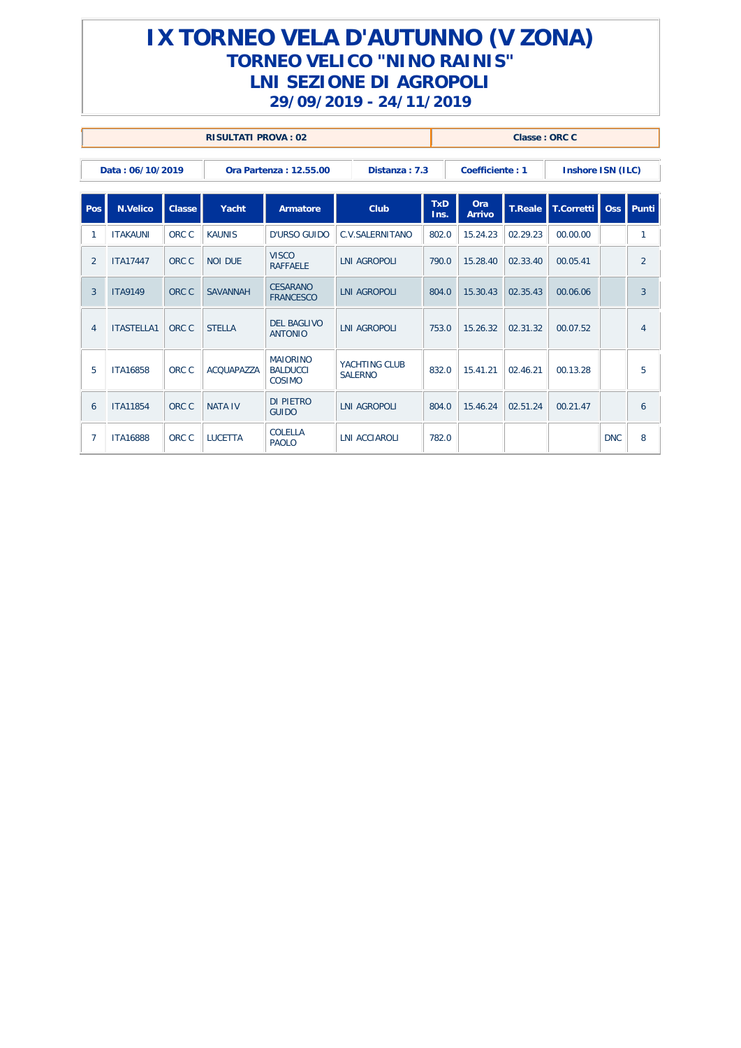|                |                   |               | <b>RISULTATI PROVA: 02</b> |                                              |                                 |                    |                      | Classe: ORC C  |                   |            |                |
|----------------|-------------------|---------------|----------------------------|----------------------------------------------|---------------------------------|--------------------|----------------------|----------------|-------------------|------------|----------------|
|                | Data: 06/10/2019  |               |                            | Ora Partenza: 12.55.00                       | Distanza: 7.3                   |                    | Coefficiente: 1      |                | Inshore ISN (ILC) |            |                |
| Pos            | <b>N.Velico</b>   | <b>Classe</b> | Yacht                      | Armatore                                     | Club                            | <b>TxD</b><br>Ins. | Ora<br><b>Arrivo</b> | <b>T.Reale</b> | T.Corretti        | <b>Oss</b> | l Punti        |
| -1             | <b>ITAKAUNI</b>   | ORC C         | <b>KAUNIS</b>              | D'URSO GUIDO                                 | C.V.SALERNITANO                 | 802.0              | 15.24.23             | 02.29.23       | 00.00.00          |            | 1              |
| 2              | <b>ITA17447</b>   | ORC C         | <b>NOI DUF</b>             | <b>VISCO</b><br><b>RAFFAFLE</b>              | <b>LNI AGROPOLI</b>             | 790.0              | 15.28.40             | 02.33.40       | 00.05.41          |            | 2              |
| 3              | <b>ITA9149</b>    | ORC C         | <b>SAVANNAH</b>            | <b>CESARANO</b><br><b>FRANCESCO</b>          | LNI AGROPOLI                    | 804.0              | 15.30.43             | 02.35.43       | 00.06.06          |            | 3              |
| $\overline{4}$ | <b>ITASTELLA1</b> | ORC C         | <b>STELLA</b>              | <b>DEL BAGLIVO</b><br><b>ANTONIO</b>         | LNI AGROPOLI                    | 753.0              | 15.26.32             | 02.31.32       | 00.07.52          |            | $\overline{4}$ |
| 5              | <b>ITA16858</b>   | ORC C         | <b>ACOUAPAZZA</b>          | <b>MAIORINO</b><br><b>BALDUCCI</b><br>COSIMO | YACHTING CLUB<br><b>SALFRNO</b> | 832.0              | 15.41.21             | 02.46.21       | 00.13.28          |            | 5              |
| 6              | <b>ITA11854</b>   | ORC C         | <b>NATA IV</b>             | DI PIFTRO<br><b>GUIDO</b>                    | <b>LNI AGROPOLI</b>             | 804.0              | 15.46.24             | 02.51.24       | 00.21.47          |            | 6              |
| $\overline{7}$ | <b>ITA16888</b>   | ORC C         | <b>LUCETTA</b>             | COLFLLA<br><b>PAOLO</b>                      | <b>LNI ACCIAROLI</b>            | 782.0              |                      |                |                   | <b>DNC</b> | 8              |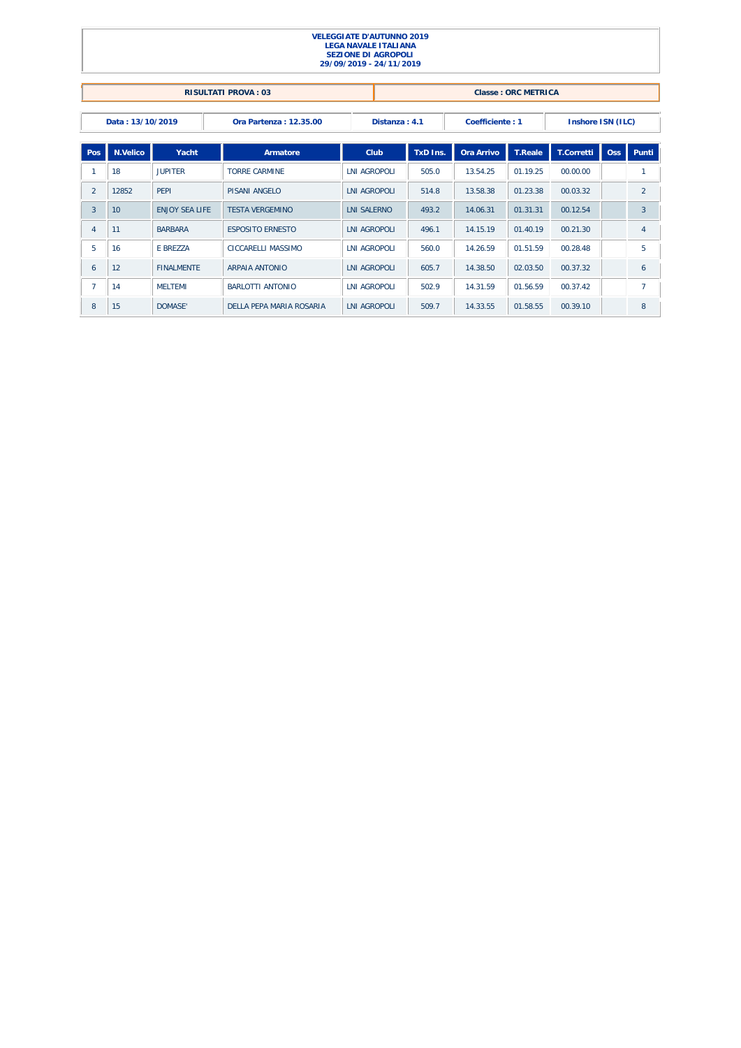|                |                  |                       |                            | <b>VELEGGIATE D'AUTUNNO 2019</b><br><b>LEGA NAVALE ITALIANA</b><br><b>SEZIONE DI AGROPOLI</b><br>29/09/2019 - 24/11/2019 |               |                 |                     |                   |     |                |
|----------------|------------------|-----------------------|----------------------------|--------------------------------------------------------------------------------------------------------------------------|---------------|-----------------|---------------------|-------------------|-----|----------------|
|                |                  |                       | <b>RISULTATI PROVA: 03</b> |                                                                                                                          |               |                 | Classe: ORC METRICA |                   |     |                |
|                | Data: 13/10/2019 |                       | Ora Partenza: 12.35.00     |                                                                                                                          | Distanza: 4.1 | Coefficiente: 1 |                     | Inshore ISN (ILC) |     |                |
| Pos            | N.Velico         | Yacht                 | Armatore                   | Club                                                                                                                     | TxD Ins.      | Ora Arrivo      | <b>T.Reale</b>      | <b>T.Corretti</b> | Oss | Punti          |
| 1              | 18               | <b>JUPITER</b>        | <b>TORRE CARMINE</b>       | <b>LNI AGROPOLI</b>                                                                                                      | 505.0         | 13.54.25        | 01.19.25            | 00.00.00          |     | 1              |
| $\overline{2}$ | 12852            | PFPI                  | <b>PISANI ANGELO</b>       | <b>LNI AGROPOLI</b>                                                                                                      | 514.8         | 13.58.38        | 01.23.38            | 00.03.32          |     | $\overline{2}$ |
| 3              | 10               | <b>ENJOY SEA LIFE</b> | <b>TESTA VERGEMINO</b>     | <b>LNI SALERNO</b>                                                                                                       | 493.2         | 14.06.31        | 01.31.31            | 00.12.54          |     | 3              |
| 4              | 11               | <b>BARBARA</b>        | <b>ESPOSITO ERNESTO</b>    | <b>LNI AGROPOLI</b>                                                                                                      | 496.1         | 14.15.19        | 01.40.19            | 00.21.30          |     | $\overline{4}$ |
| 5              | 16               | E BREZZA              | CICCARELLI MASSIMO         | <b>LNI AGROPOLI</b>                                                                                                      | 560.0         | 14.26.59        | 01.51.59            | 00.28.48          |     | 5              |
| 6              | 12               | <b>FINALMENTE</b>     | <b>ARPAIA ANTONIO</b>      | <b>LNI AGROPOLI</b>                                                                                                      | 605.7         | 14.38.50        | 02.03.50            | 00.37.32          |     | 6              |
| $\overline{7}$ | 14               | <b>MELTEMI</b>        | <b>BARLOTTI ANTONIO</b>    | <b>LNI AGROPOLI</b>                                                                                                      | 502.9         | 14.31.59        | 01.56.59            | 00.37.42          |     | $\overline{7}$ |
| 8              | 15               | DOMASE'               | DELLA PEPA MARIA ROSARIA   | <b>LNI AGROPOLI</b>                                                                                                      | 509.7         | 14.33.55        | 01.58.55            | 00.39.10          |     | 8              |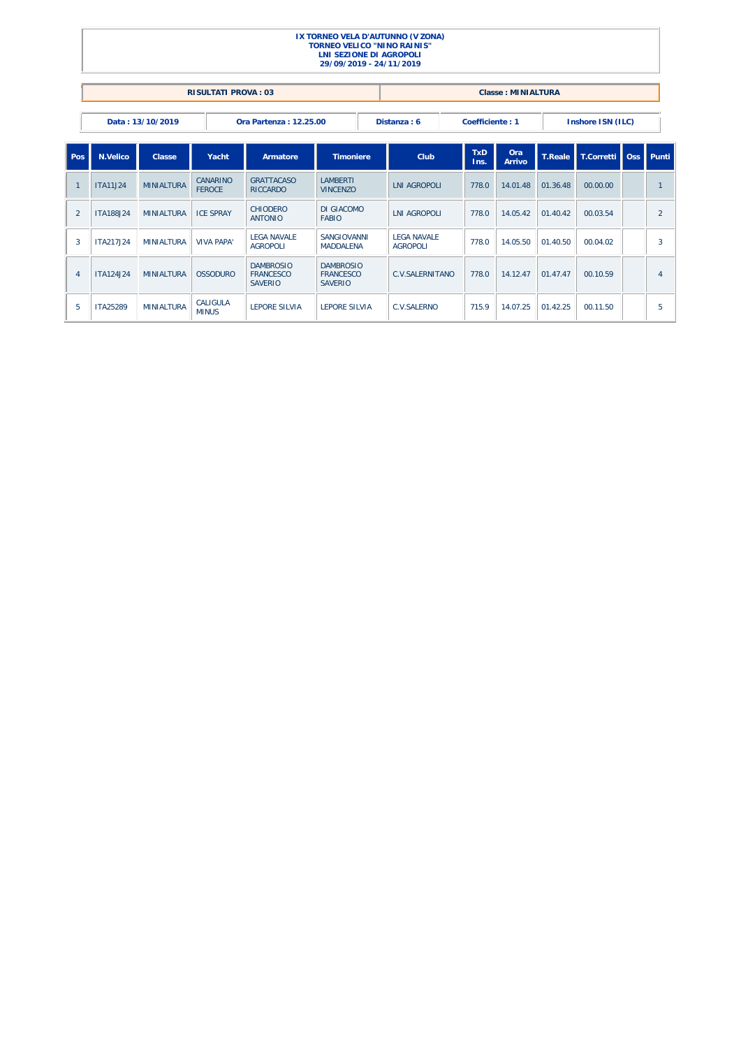|                |                  |                    |                            |                                                        | LNI SEZIONE DI AGROPOLI<br>29/09/2019 - 24/11/2019     |  | IX TORNEO VELA D'AUTUNNO (V ZONA)<br><b>TORNEO VELICO "NINO RAINIS"</b> |                    |                           |                |                   |        |                |
|----------------|------------------|--------------------|----------------------------|--------------------------------------------------------|--------------------------------------------------------|--|-------------------------------------------------------------------------|--------------------|---------------------------|----------------|-------------------|--------|----------------|
|                |                  |                    | <b>RISULTATI PROVA: 03</b> |                                                        |                                                        |  |                                                                         |                    | <b>Classe: MINIALTURA</b> |                |                   |        |                |
|                |                  | Data: 13/10/2019   |                            | Ora Partenza: 12.25.00                                 |                                                        |  | Distanza: 6                                                             | Coefficiente: 1    |                           |                | Inshore ISN (ILC) |        |                |
| Pos            | N.Velico         | Classe             | Yacht                      | Armatore                                               | <b>Timoniere</b>                                       |  | Club                                                                    | <b>TxD</b><br>Ins. | Ora<br>Arrivo             | <b>T.Reale</b> | T.Corretti        | $\log$ | <b>Punti</b>   |
| $\overline{1}$ | <b>ITA11J24</b>  | <b>MINIALTURA</b>  | CANARINO<br><b>FEROCE</b>  | <b>GRATTACASO</b><br><b>RICCARDO</b>                   | <b>I AMBERTI</b><br><b>VINCENZO</b>                    |  | <b>LNI AGROPOLI</b>                                                     | 778.0              | 14.01.48                  | 01.36.48       | 00.00.00          |        | $\mathbf{1}$   |
| 2              | <b>ITA188J24</b> | <b>MINIAI TURA</b> | <b>ICF SPRAY</b>           | <b>CHIODERO</b><br><b>ANTONIO</b>                      | DI GIACOMO<br><b>FABIO</b>                             |  | <b>INI AGROPOLI</b>                                                     | 778.0              | 14.05.42                  | 01.40.42       | 00.03.54          |        | $\overline{2}$ |
| 3              | ITA217.I24       | <b>MINIAI TURA</b> | <b>VIVA PAPA'</b>          | <b>LEGA NAVALE</b><br><b>AGROPOLI</b>                  | SANGIOVANNI<br><b>MADDALENA</b>                        |  | <b>LEGA NAVALE</b><br><b>AGROPOLI</b>                                   | 778.0              | 14.05.50                  | 01.40.50       | 00.04.02          |        | 3              |
| $\overline{4}$ | ITA124.I24       | <b>MINIAI TURA</b> | <b>OSSODURO</b>            | <b>DAMBROSIO</b><br><b>FRANCESCO</b><br><b>SAVERIO</b> | <b>DAMBROSIO</b><br><b>FRANCESCO</b><br><b>SAVERIO</b> |  | <b>C.V.SAI FRNITANO</b>                                                 | 778.0              | 14.12.47                  | 01.47.47       | 00.10.59          |        | $\overline{4}$ |
| 5              | ITA25289         | <b>MINIAI TURA</b> | CALIGULA<br><b>MINUS</b>   | <b>I FPORF SILVIA</b>                                  | <b>I FPORF SILVIA</b>                                  |  | <b>C.V.SAI FRNO</b>                                                     | 715.9              | 14.07.25                  | 01.42.25       | 00.11.50          |        | 5              |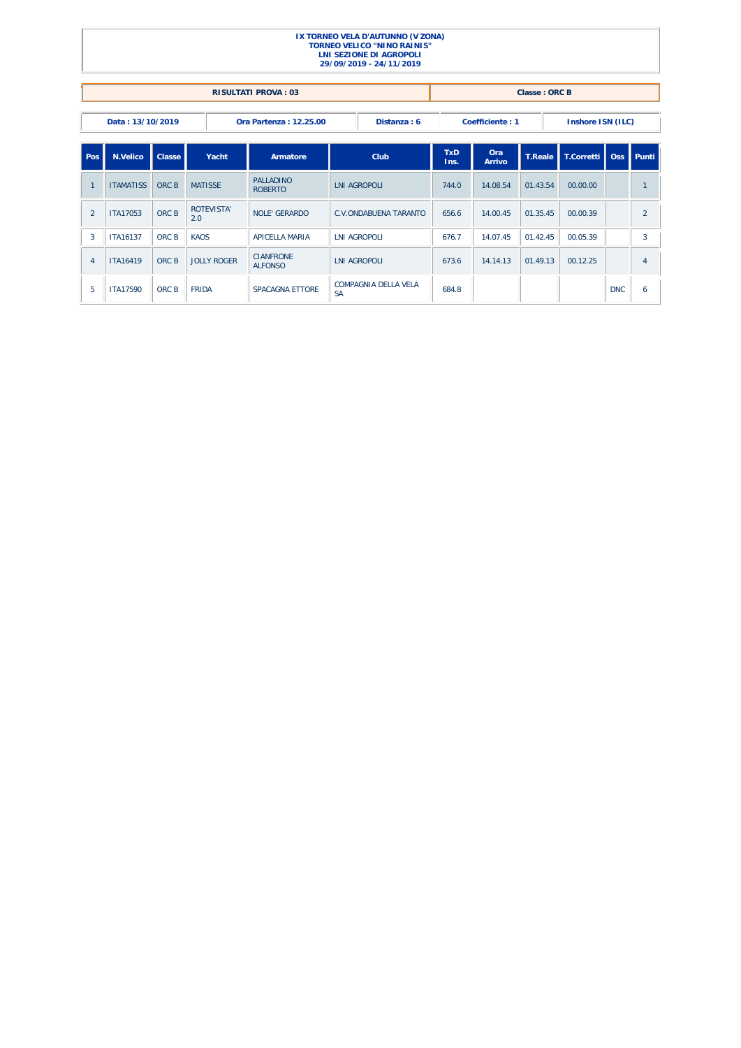|                |                                                                                                   |                  |                          |                                     |                                   | IX TORNEO VELA D'AUTUNNO (V ZONA)<br><b>TORNEO VELICO "NINO RAINIS"</b><br><b>LNI SEZIONE DI AGROPOLI</b><br>29/09/2019 - 24/11/2019 |                    |               |                      |            |            |                |  |
|----------------|---------------------------------------------------------------------------------------------------|------------------|--------------------------|-------------------------------------|-----------------------------------|--------------------------------------------------------------------------------------------------------------------------------------|--------------------|---------------|----------------------|------------|------------|----------------|--|
|                |                                                                                                   |                  |                          | <b>RISULTATI PROVA: 03</b>          |                                   |                                                                                                                                      |                    |               | <b>Classe: ORC B</b> |            |            |                |  |
|                | Data: 13/10/2019<br>Distanza: 6<br>Coefficiente: 1<br>Inshore ISN (ILC)<br>Ora Partenza: 12.25.00 |                  |                          |                                     |                                   |                                                                                                                                      |                    |               |                      |            |            |                |  |
| Pos            | N.Velico                                                                                          | Classe           | Yacht                    | Armatore                            | Club                              |                                                                                                                                      | <b>TxD</b><br>Ins. | Ora<br>Arrivo | <b>T.Reale</b>       | T.Corretti | Oss        | Punti          |  |
|                | <b>ITAMATISS</b>                                                                                  | ORC B            | <b>MATISSE</b>           | <b>PALLADINO</b><br><b>ROBERTO</b>  |                                   | <b>INI AGROPOLI</b>                                                                                                                  | 744.0              | 14.08.54      | 01.43.54             | 00.00.00   |            | $\mathbf{1}$   |  |
| $\overline{2}$ | <b>ITA17053</b>                                                                                   | ORC B            | <b>ROTEVISTA'</b><br>2.0 | <b>NOLE' GERARDO</b>                |                                   | <b>C.V.ONDABUENA TARANTO</b>                                                                                                         | 656.6              | 14.00.45      | 01.35.45             | 00.00.39   |            | $\overline{2}$ |  |
| 3              | ITA16137                                                                                          | ORC <sub>B</sub> | KAOS                     | <b>APICELLA MARIA</b>               |                                   | <b>LNI AGROPOLI</b>                                                                                                                  | 676.7              | 14.07.45      | 01.42.45             | 00.05.39   |            | 3              |  |
| $\overline{4}$ | <b>ITA16419</b>                                                                                   | ORC B            | JOLLY ROGER              | <b>CIANFRONE</b><br><b>AI FONSO</b> |                                   | <b>LNI AGROPOLI</b>                                                                                                                  | 673.6              | 14.14.13      | 01.49.13             | 00.12.25   |            | $\overline{4}$ |  |
| 5              | <b>ITA17590</b>                                                                                   | ORC B            | <b>FRIDA</b>             | <b>SPACAGNA ETTORE</b>              | COMPAGNIA DELLA VELA<br><b>SA</b> |                                                                                                                                      | 684.8              |               |                      |            | <b>DNC</b> | 6              |  |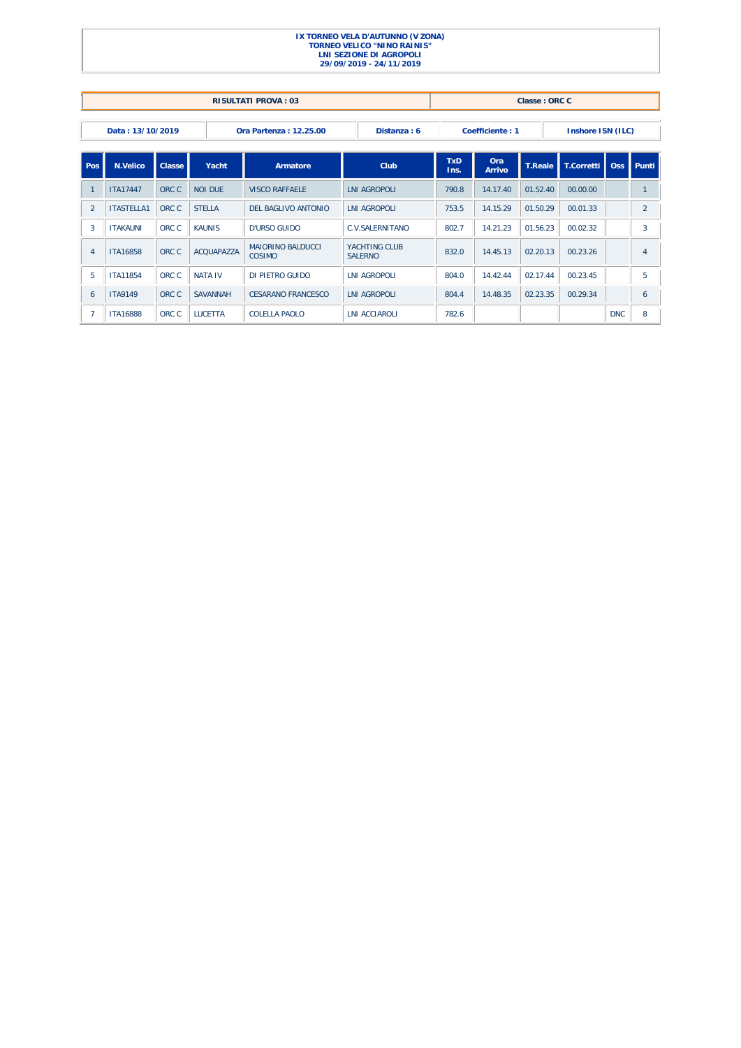|                |                   |        |                 | <b>RISULTATI PROVA: 03</b>          |                                  |                    |                 | Classe: ORC C  |                   |                  |                |
|----------------|-------------------|--------|-----------------|-------------------------------------|----------------------------------|--------------------|-----------------|----------------|-------------------|------------------|----------------|
|                | Data: 13/10/2019  |        |                 | Ora Partenza: 12.25.00              | Distanza: 6                      |                    | Coefficiente: 1 |                | Inshore ISN (ILC) |                  |                |
| Pos            | N.Velico          | Classe | Yacht           | Armatore                            | Club                             | <b>TxD</b><br>Ins. | Ora<br>Arrivo   | <b>T.Reale</b> | T.Corretti        | Oss <sub>1</sub> | Punti          |
|                | <b>ITA17447</b>   | ORC C  | <b>NOI DUF</b>  | <b>VISCO RAFFAFI F</b>              | <b>LNI AGROPOLI</b>              | 790.8              | 14.17.40        | 01.52.40       | 00.00.00          |                  | $\mathbf{1}$   |
| 2              | <b>ITASTELLA1</b> | ORC C  | <b>STELLA</b>   | DEL BAGLIVO ANTONIO                 | <b>LNI AGROPOLI</b>              | 753.5              | 14.15.29        | 01.50.29       | 00.01.33          |                  | $\overline{2}$ |
| 3              | <b>ITAKAUNI</b>   | ORC C  | <b>KAUNIS</b>   | D'URSO GUIDO                        | <b>C.V.SAI FRNITANO</b>          | 802.7              | 14.21.23        | 01.56.23       | 00.02.32          |                  | 3              |
| $\overline{4}$ | <b>ITA16858</b>   | ORC C  | ACOUAPA77A      | <b>MAIORINO BAI DUCCI</b><br>COSIMO | YACHTING CLUB<br><b>SAI FRNO</b> | 832.0              | 14.45.13        | 02.20.13       | 00.23.26          |                  | 4              |
| 5              | <b>ITA11854</b>   | ORC C  | <b>NATA IV</b>  | DI PIETRO GUIDO                     | <b>LNI AGROPOLI</b>              | 804.0              | 14.42.44        | 02.17.44       | 00.23.45          |                  | 5              |
| 6              | <b>ITA9149</b>    | ORC C  | <b>SAVANNAH</b> | CESARANO ERANCESCO                  | <b>INI AGROPOLI</b>              | 804.4              | 14.48.35        | 02.23.35       | 00.29.34          |                  | 6              |
|                | <b>ITA16888</b>   | ORC C  | <b>LUCETTA</b>  | COLELLA PAOLO                       | <b>LNI ACCIAROLI</b>             | 782.6              |                 |                |                   | <b>DNC</b>       | 8              |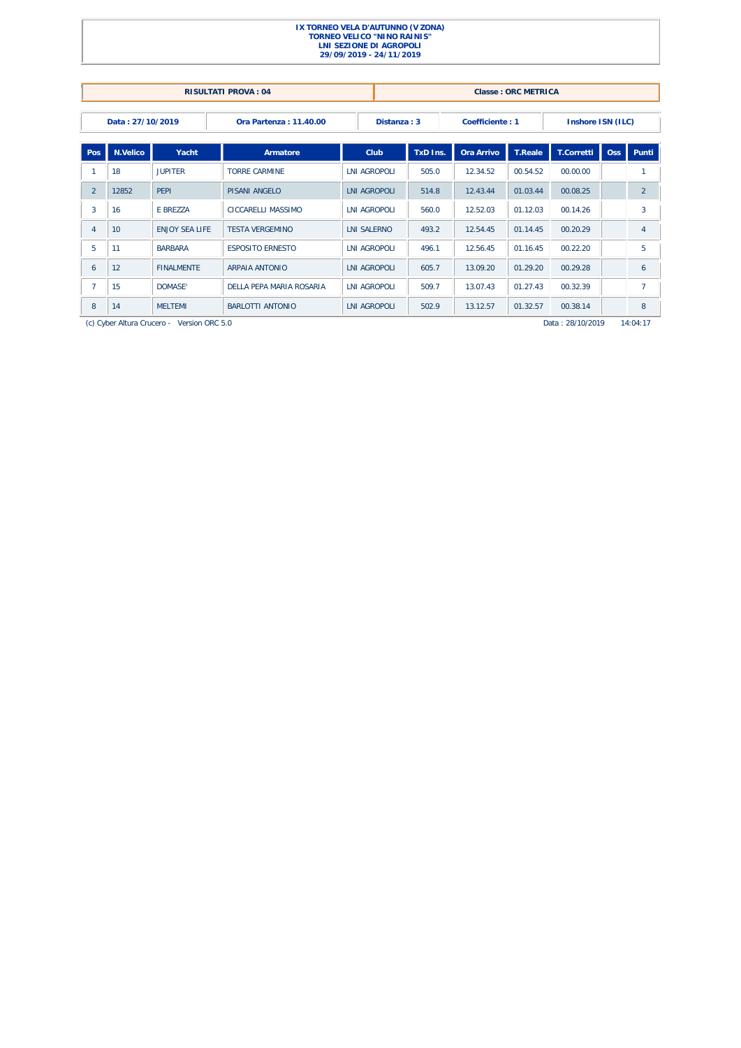|                |                  |                                            | <b>RISULTATI PROVA: 04</b> |                     |                     |          |                 | <b>Classe: ORC METRICA</b> |                   |            |                |
|----------------|------------------|--------------------------------------------|----------------------------|---------------------|---------------------|----------|-----------------|----------------------------|-------------------|------------|----------------|
|                | Data: 27/10/2019 |                                            | Ora Partenza: 11.40.00     |                     | Distanza: 3         |          | Coefficiente: 1 |                            | Inshore ISN (ILC) |            |                |
| Pos            | N.Velico         | Yacht                                      | Armatore                   |                     | Club                | TxD Ins. | Ora Arrivo      | <b>T.Reale</b>             | T.Corretti        | <b>Oss</b> | Punti          |
|                | 18               | <b>JUPITER</b>                             | <b>TORRE CARMINE</b>       |                     | <b>LNI AGROPOLI</b> |          | 12.34.52        | 00.54.52                   | 00.00.00          |            | 1              |
| $\overline{2}$ | 12852            | PFPI                                       | PISANI ANGELO              | <b>INI AGROPOLI</b> |                     | 514.8    | 12.43.44        | 01.03.44                   | 00.08.25          |            | $\overline{2}$ |
| 3              | 16               | E BREZZA                                   | CICCARELLI MASSIMO         | <b>LNI AGROPOLI</b> |                     | 560.0    | 12.52.03        | 01.12.03                   | 00.14.26          |            | 3              |
| $\overline{4}$ | 10               | <b>ENJOY SEA LIFE</b>                      | <b>TESTA VERGEMINO</b>     | <b>LNI SALERNO</b>  |                     | 493.2    | 12.54.45        | 01.14.45                   | 00.20.29          |            | $\overline{4}$ |
| 5              | 11               | <b>BARBARA</b>                             | <b>ESPOSITO ERNESTO</b>    | <b>INI AGROPOLI</b> |                     | 496.1    | 12.56.45        | 01.16.45                   | 00.22.20          |            | 5              |
| 6              | 12               | <b>FINALMENTE</b>                          | <b>ARPAIA ANTONIO</b>      | <b>LNI AGROPOLI</b> |                     | 605.7    | 13.09.20        | 01.29.20                   | 00.29.28          |            | 6              |
| $\overline{7}$ | 15               | DOMASE'                                    | DELLA PEPA MARIA ROSARIA   | <b>LNI AGROPOLI</b> |                     | 509.7    | 13.07.43        | 01.27.43                   | 00.32.39          |            | $\overline{7}$ |
| 8              | 14               | <b>MFI TFMI</b>                            | BARLOTTI ANTONIO           | <b>LNI AGROPOLI</b> |                     | 502.9    | 13.12.57        | 01.32.57                   | 00.38.14          |            | 8              |
|                |                  | (c) Cyber Altura Crucero - Version ORC 5.0 |                            |                     |                     |          |                 |                            | Data: 28/10/2019  |            | 14:04:17       |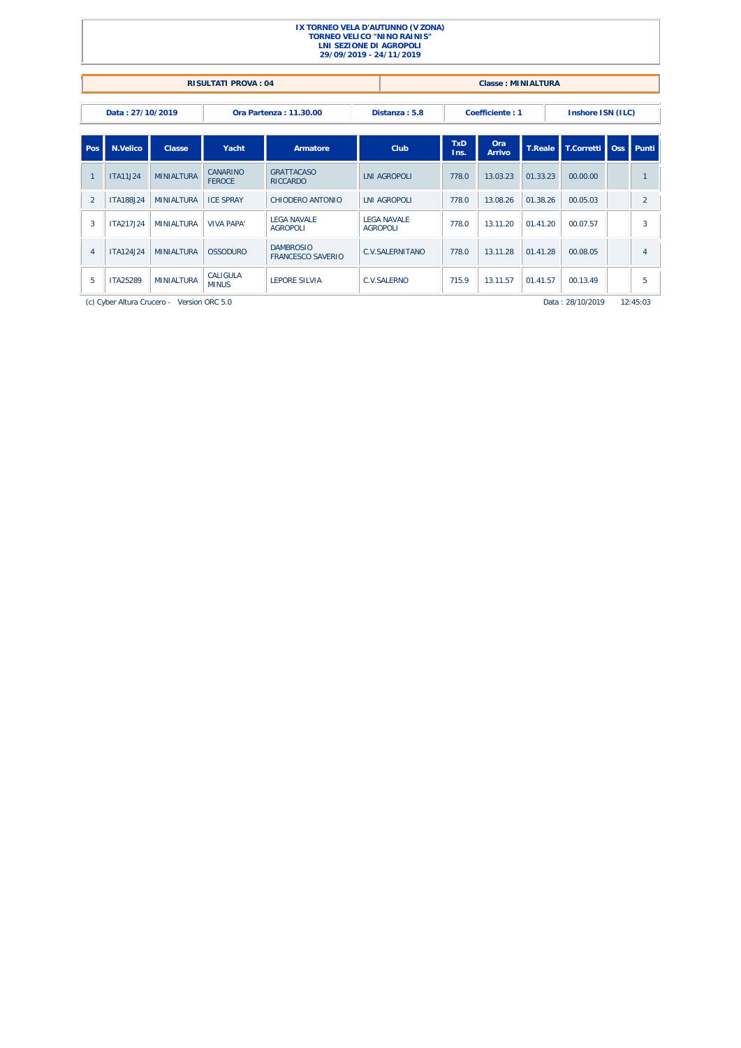| IX TORNEO VELA D'AUTUNNO (V ZONA)<br><b>TORNEO VELICO "NINO RAINIS"</b><br><b>LNI SEZIONE DI AGROPOLI</b><br>29/09/2019 - 24/11/2019                             |                  |                                            |                           |                                              |                                                    |                                        |       |          |                |                  |   |                |
|------------------------------------------------------------------------------------------------------------------------------------------------------------------|------------------|--------------------------------------------|---------------------------|----------------------------------------------|----------------------------------------------------|----------------------------------------|-------|----------|----------------|------------------|---|----------------|
| <b>RISULTATI PROVA: 04</b><br><b>Classe: MINIALTURA</b>                                                                                                          |                  |                                            |                           |                                              |                                                    |                                        |       |          |                |                  |   |                |
| Data: 27/10/2019<br>Distanza: 5.8<br>Coefficiente: 1<br>Inshore ISN (ILC)<br>Ora Partenza: 11.30.00                                                              |                  |                                            |                           |                                              |                                                    |                                        |       |          |                |                  |   |                |
| Pos                                                                                                                                                              | N.Velico         | Classe                                     | Yacht                     | Armatore                                     | <b>TxD</b><br>Ora<br>Club<br><b>Arrivo</b><br>Ins. |                                        |       |          | <b>T.Reale</b> | T.Corretti   Oss |   | Punti          |
|                                                                                                                                                                  | <b>ITA11J24</b>  | <b>MINIALTURA</b>                          | CANARINO<br><b>FEROCE</b> | <b>GRATTACASO</b><br><b>RICCARDO</b>         |                                                    | <b>LNI AGROPOLI</b>                    | 778.0 | 13.03.23 | 01.33.23       | 00.00.00         |   |                |
| 2                                                                                                                                                                | <b>ITA188J24</b> | <b>MINIALTURA</b>                          | <b>ICF SPRAY</b>          | CHIODERO ANTONIO                             |                                                    | <b>INI AGROPOLI</b>                    | 778.0 | 13.08.26 | 01.38.26       | 00.05.03         |   | $\overline{2}$ |
| 3                                                                                                                                                                | ITA217J24        | <b>MINIALTURA</b>                          | <b>VIVA PAPA'</b>         | <b>I FGA NAVALE</b><br><b>AGROPOLI</b>       |                                                    | <b>I FGA NAVALE</b><br><b>AGROPOLI</b> | 778.0 | 13.11.20 | 01.41.20       | 00.07.57         |   | 3              |
| $\overline{4}$                                                                                                                                                   | ITA124.I24       | <b>MINIAI TURA</b>                         | <b>OSSODURO</b>           | <b>DAMBROSIO</b><br><b>FRANCESCO SAVERIO</b> |                                                    | <b>C.V.SALERNITANO</b>                 | 778.0 | 13.11.28 | 01.41.28       | 00.08.05         |   | $\overline{4}$ |
| CALIGULA<br><b>ITA25289</b><br><b>MINIALTURA</b><br><b>LEPORE SILVIA</b><br>13.11.57<br>5<br><b>C.V.SALERNO</b><br>715.9<br>01.41.57<br>00.13.49<br><b>MINUS</b> |                  |                                            |                           |                                              |                                                    |                                        |       |          |                |                  | 5 |                |
|                                                                                                                                                                  |                  | (c) Cyber Altura Crucero - Version ORC 5.0 |                           |                                              |                                                    |                                        |       |          |                | Data: 28/10/2019 |   | 12:45:03       |

1

Ī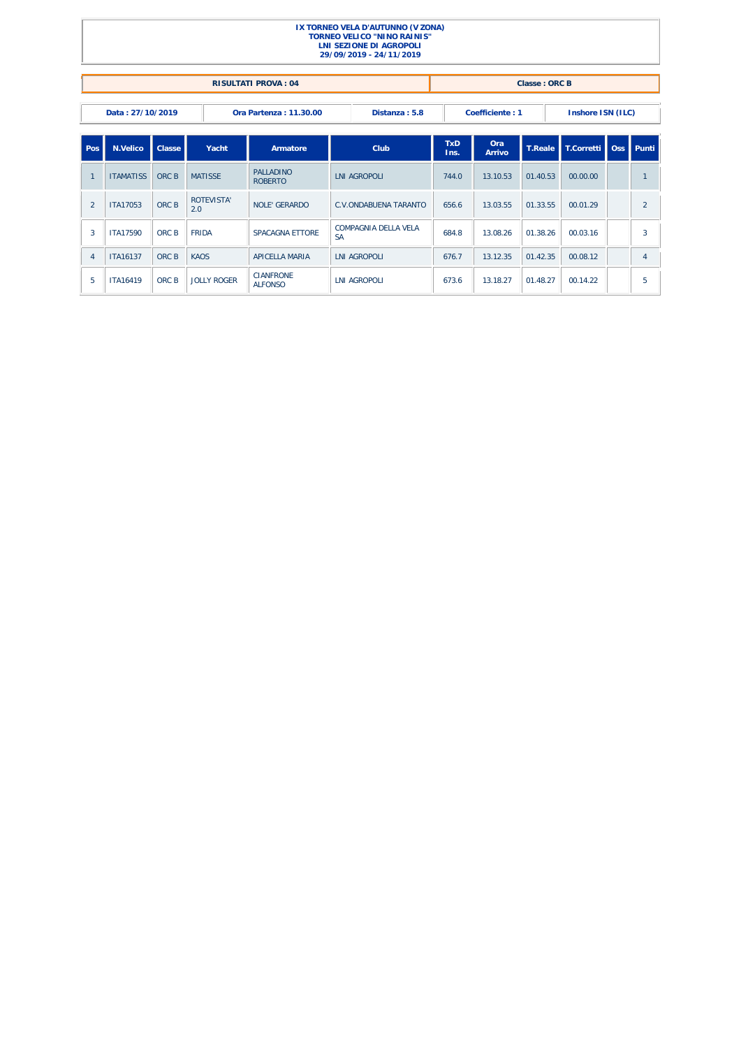|                |                  |        |                          |                                    |                                   | IX TORNEO VELA D'AUTUNNO (V ZONA)<br><b>TORNEO VELICO "NINO RAINIS"</b><br>LNI SEZIONE DI AGROPOLI<br>29/09/2019 - 24/11/2019 |                    |               |                   |                      |                |
|----------------|------------------|--------|--------------------------|------------------------------------|-----------------------------------|-------------------------------------------------------------------------------------------------------------------------------|--------------------|---------------|-------------------|----------------------|----------------|
|                |                  |        |                          | <b>RISULTATI PROVA: 04</b>         |                                   |                                                                                                                               |                    |               | Classe: ORC B     |                      |                |
|                | Data: 27/10/2019 |        |                          | Ora Partenza: 11.30.00             | Distanza: 5.8                     |                                                                                                                               | Coefficiente: 1    |               | Inshore ISN (ILC) |                      |                |
| Pos            | <b>N.Velico</b>  | Classe | Yacht                    | Armatore                           |                                   | Club                                                                                                                          | <b>TxD</b><br>Ins. | Ora<br>Arrivo | T.Reale           | T.Corretti Oss Punti |                |
| $\overline{1}$ | <b>ITAMATISS</b> | ORC B  | <b>MATISSE</b>           | <b>PALLADINO</b><br><b>ROBERTO</b> |                                   | <b>LNI AGROPOLI</b>                                                                                                           |                    | 13.10.53      | 01.40.53          | 00.00.00             | $\mathbf{1}$   |
| $\overline{2}$ | ITA17053         | ORC B  | <b>ROTEVISTA'</b><br>2.0 | <b>NOLF' GERARDO</b>               |                                   | <b>C.V.ONDABUENA TARANTO</b>                                                                                                  | 656.6              | 13.03.55      | 01.33.55          | 00.01.29             | $\overline{2}$ |
| 3              | <b>ITA17590</b>  | ORC B  | <b>FRIDA</b>             | <b>SPACAGNA ETTORE</b>             | COMPAGNIA DELLA VELA<br><b>SA</b> |                                                                                                                               | 684.8              | 13.08.26      | 01.38.26          | 00.03.16             | $\overline{3}$ |
| $\overline{4}$ | <b>ITA16137</b>  | ORC B  | <b>KAOS</b>              | <b>APICELLA MARIA</b>              | <b>LNI AGROPOLI</b>               |                                                                                                                               | 676.7              | 13.12.35      | 01.42.35          | 00.08.12             | 4              |
| 5              | <b>ITA16419</b>  | ORC B  | JOLLY ROGER              | <b>CIANFRONE</b><br><b>ALFONSO</b> | <b>LNI AGROPOLI</b>               |                                                                                                                               | 673.6              | 13.18.27      | 01.48.27          | 00.14.22             | 5              |

٠l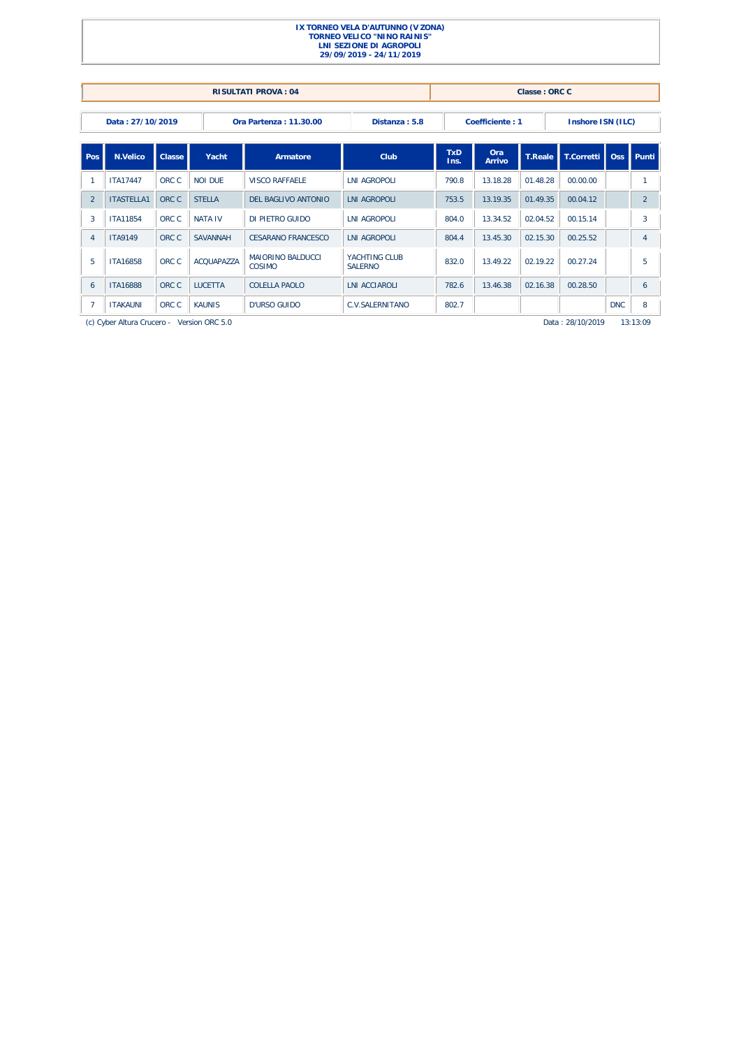|                |                                                                  |        |                   | <b>RISULTATI PROVA: 04</b>         |                                  |                    |                 | Classe: ORC C  |                   |            |                |
|----------------|------------------------------------------------------------------|--------|-------------------|------------------------------------|----------------------------------|--------------------|-----------------|----------------|-------------------|------------|----------------|
|                | Data: 27/10/2019                                                 |        |                   | Ora Partenza: 11.30.00             | Distanza: 5.8                    |                    | Coefficiente: 1 |                | Inshore ISN (ILC) |            |                |
| Pos            | N.Velico                                                         | Classe | Yacht             | Armatore                           | <b>Club</b>                      | <b>TxD</b><br>Ins. | Ora<br>Arrivo   | <b>T.Reale</b> | T.Corretti        | Oss        | Punti          |
|                | <b>ITA17447</b>                                                  | ORC C  | <b>NOI DUF</b>    | <b>VISCO RAFFAELE</b>              | <b>LNI AGROPOLI</b>              | 790.8              | 13.18.28        | 01.48.28       | 00.00.00          |            | $\mathbf{1}$   |
| $\overline{2}$ | <b>ITASTELLA1</b>                                                | ORC C  | <b>STELLA</b>     | <b>DEL BAGLIVO ANTONIO</b>         | <b>LNI AGROPOLI</b>              | 753.5              | 13.19.35        | 01.49.35       | 00.04.12          |            | $\overline{2}$ |
| 3              | <b>ITA11854</b>                                                  | ORC C  | <b>NATA IV</b>    | DI PIETRO GUIDO                    | <b>INI AGROPOLI</b>              | 804.0              | 13.34.52        | 02.04.52       | 00.15.14          |            | 3              |
| $\overline{4}$ | <b>ITA9149</b>                                                   | ORC C  | <b>SAVANNAH</b>   | CESARANO ERANCESCO                 | <b>INI AGROPOLI</b>              | 804.4              | 13.45.30        | 02.15.30       | 00.25.52          |            | $\overline{4}$ |
| -5             | <b>ITA16858</b>                                                  | ORC C  | <b>ACQUAPAZZA</b> | <b>MAIORINO BALDUCCI</b><br>COSIMO | YACHTING CLUB<br><b>SAI FRNO</b> | 832.0              | 13.49.22        | 02.19.22       | 00.27.24          |            | 5              |
| 6              | <b>ITA16888</b>                                                  | ORC C  | <b>LUCETTA</b>    | <b>COLELLA PAOLO</b>               | <b>LNI ACCIAROLI</b>             | 782.6              | 13.46.38        | 02.16.38       | 00.28.50          |            | 6              |
| $\overline{7}$ | ORC C<br><b>KAUNIS</b><br><b>ITAKAUNI</b><br><b>D'URSO GUIDO</b> |        |                   |                                    | C.V.SALERNITANO                  | 802.7              |                 |                |                   | <b>DNC</b> | 8              |
|                | (c) Cyber Altura Crucero - Version ORC 5.0                       |        |                   |                                    |                                  |                    |                 |                | Data: 28/10/2019  |            | 13:13:09       |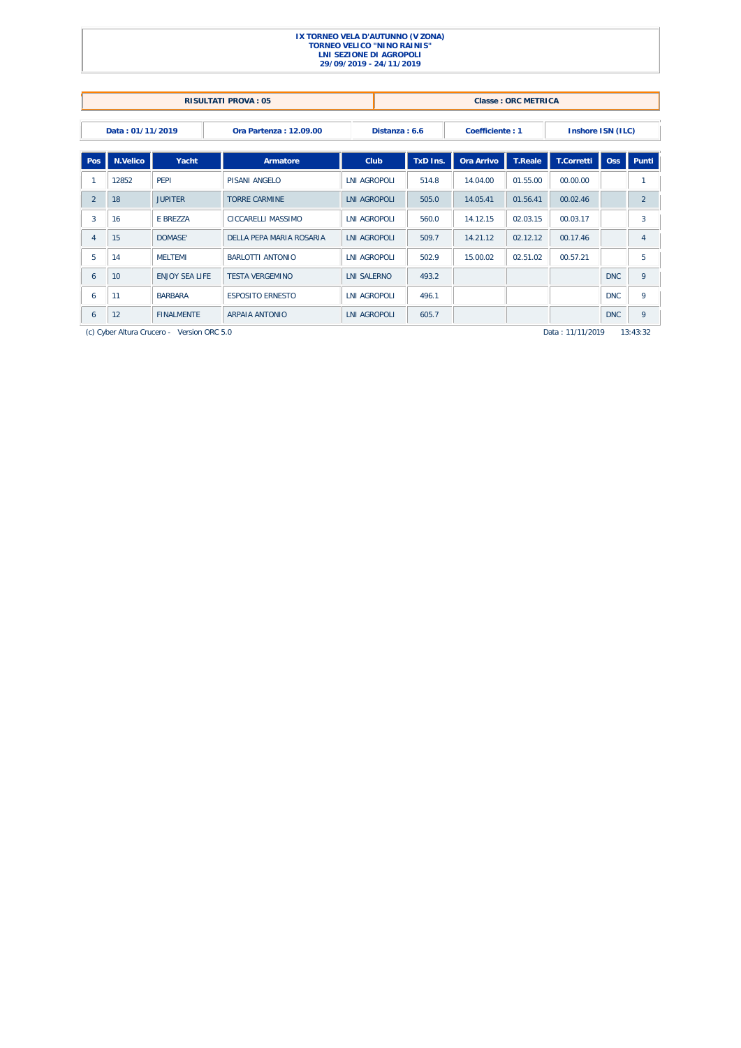|                |                  |                                            | <b>RISULTATI PROVA: 05</b> |                     |               |          |                 | Classe: ORC METRICA |                   |            |                |
|----------------|------------------|--------------------------------------------|----------------------------|---------------------|---------------|----------|-----------------|---------------------|-------------------|------------|----------------|
|                | Data: 01/11/2019 |                                            | Ora Partenza: 12.09.00     |                     | Distanza: 6.6 |          | Coefficiente: 1 |                     | Inshore ISN (ILC) |            |                |
| Pos            | N.Velico         | Yacht                                      | Armatore                   | Club                |               | TxD Ins. | Ora Arrivo      | <b>T.Reale</b>      | <b>T.Corretti</b> | <b>Oss</b> | Punti          |
|                | 12852            | PFPI                                       | PISANI ANGELO              | <b>INI AGROPOLI</b> |               | 514.8    | 14.04.00        | 01.55.00            | 00.00.00          |            | 1              |
| $\overline{2}$ | 18               | <b>JUPITER</b>                             | <b>TORRE CARMINE</b>       | <b>LNI AGROPOLI</b> |               | 505.0    | 14.05.41        | 01.56.41            | 00.02.46          |            | $\overline{2}$ |
| 3              | 16               | E BREZZA                                   | CICCARELLI MASSIMO         | <b>LNI AGROPOLI</b> |               | 560.0    | 14.12.15        | 02.03.15            | 00.03.17          |            | 3              |
| 4              | 15               | DOMASE'                                    | DELLA PEPA MARIA ROSARIA   | LNI AGROPOLI        |               | 509.7    | 14.21.12        | 02.12.12            | 00.17.46          |            | 4              |
| 5              | 14               | <b>MELTEMI</b>                             | <b>BARLOTTI ANTONIO</b>    | <b>INI AGROPOLI</b> |               | 502.9    | 15.00.02        | 02.51.02            | 00.57.21          |            | 5              |
| 6              | 10               | <b>ENJOY SEA LIFE</b>                      | <b>TESTA VERGEMINO</b>     | <b>LNI SALERNO</b>  |               | 493.2    |                 |                     |                   | <b>DNC</b> | 9              |
| 6              | 11               | <b>BARBARA</b>                             | <b>ESPOSITO ERNESTO</b>    | <b>LNI AGROPOLI</b> |               | 496.1    |                 |                     |                   | <b>DNC</b> | 9              |
| 6              | 12               | <b>FINALMENTE</b>                          | <b>ARPAIA ANTONIO</b>      | <b>LNI AGROPOLI</b> |               | 605.7    |                 |                     |                   | <b>DNC</b> | 9              |
|                |                  | (c) Cyber Altura Crucero - Version ORC 5.0 |                            |                     |               |          |                 |                     | Data: 11/11/2019  |            | 13:43:32       |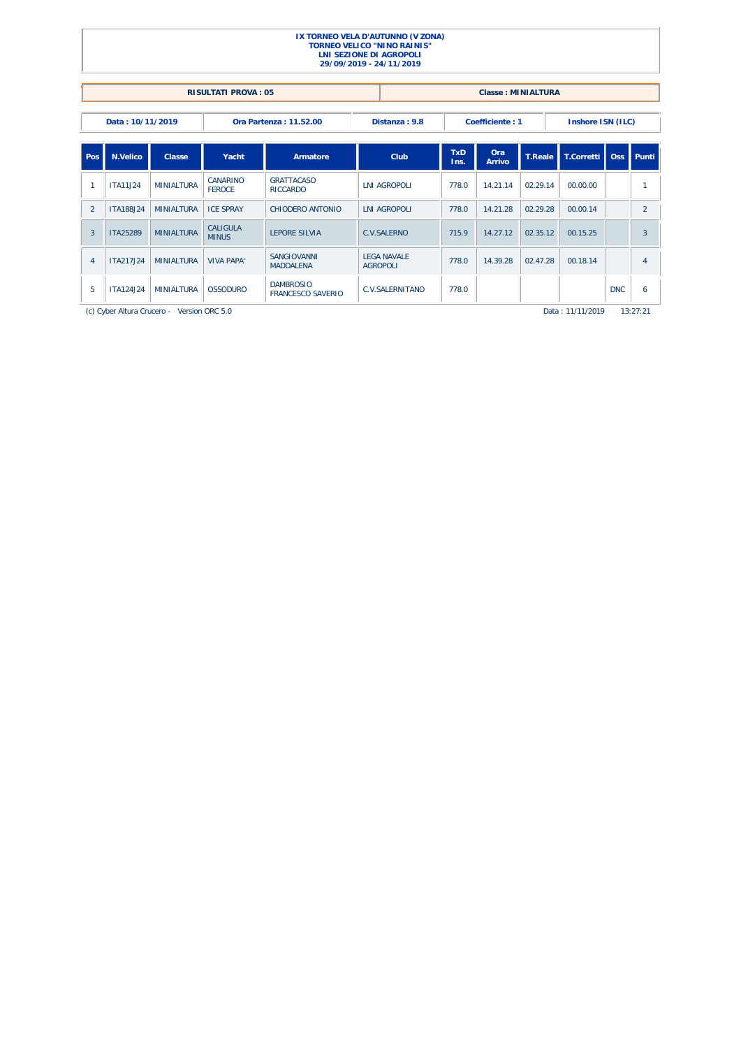|                |                  |                    |                            | IX TORNEO VELA D'AUTUNNO (V ZONA)<br><b>TORNEO VELICO "NINO RAINIS"</b><br><b>LNI SEZIONE DI AGROPOLI</b><br>29/09/2019 - 24/11/2019 |                                       |                                                    |       |                           |                |                   |            |                |
|----------------|------------------|--------------------|----------------------------|--------------------------------------------------------------------------------------------------------------------------------------|---------------------------------------|----------------------------------------------------|-------|---------------------------|----------------|-------------------|------------|----------------|
|                |                  |                    | <b>RISULTATI PROVA: 05</b> |                                                                                                                                      |                                       |                                                    |       | <b>Classe: MINIALTURA</b> |                |                   |            |                |
|                | Data: 10/11/2019 |                    |                            | <b>Ora Partenza: 11.52.00</b>                                                                                                        |                                       | Distanza: 9.8                                      |       | Coefficiente: 1           |                | Inshore ISN (ILC) |            |                |
| Pos            | N.Velico         | Classe             | Yacht                      | Armatore                                                                                                                             |                                       | <b>TxD</b><br>Ora<br>Club<br><b>Arrivo</b><br>Ins. |       |                           | <b>T.Reale</b> | T.Corretti        | Oss        | Punti          |
| $\overline{1}$ | <b>ITA11J24</b>  | <b>MINIALTURA</b>  | CANARINO<br><b>FFROCF</b>  | <b>GRATTACASO</b><br><b>RICCARDO</b>                                                                                                 |                                       | <b>LNI AGROPOLI</b>                                | 778.0 | 14.21.14                  | 02.29.14       | 00.00.00          |            |                |
| $\overline{2}$ | <b>ITA188J24</b> | <b>MINIALTURA</b>  | <b>ICE SPRAY</b>           | CHIODERO ANTONIO                                                                                                                     |                                       | <b>INI AGROPOLI</b>                                | 778.0 | 14.21.28                  | 02.29.28       | 00.00.14          |            | $\overline{2}$ |
| 3              | ITA25289         | <b>MINIALTURA</b>  | CALIGULA<br><b>MINUS</b>   | <b>LEPORE SILVIA</b>                                                                                                                 | <b>C.V.SALERNO</b>                    |                                                    | 715.9 | 14.27.12                  | 02.35.12       | 00.15.25          |            | 3              |
| $\overline{4}$ | ITA217.I24       | <b>MINIAI TURA</b> | <b>VIVA PAPA'</b>          | SANGIOVANNI<br><b>MADDALENA</b>                                                                                                      | <b>LEGA NAVALE</b><br><b>AGROPOLI</b> |                                                    | 778.0 | 14.39.28                  | 02.47.28       | 00.18.14          |            | $\overline{4}$ |
| 5              | <b>ITA124J24</b> | <b>MINIALTURA</b>  | <b>OSSODURO</b>            | <b>DAMBROSIO</b><br><b>FRANCESCO SAVERIO</b>                                                                                         |                                       | <b>C.V.SALERNITANO</b>                             | 778.0 |                           |                |                   | <b>DNC</b> | 6              |

(c) Cyber Altura Crucero - Version ORC 5.0 Data : 11/11/2019 13:27:21 Data : 11/11/2019 13:27:21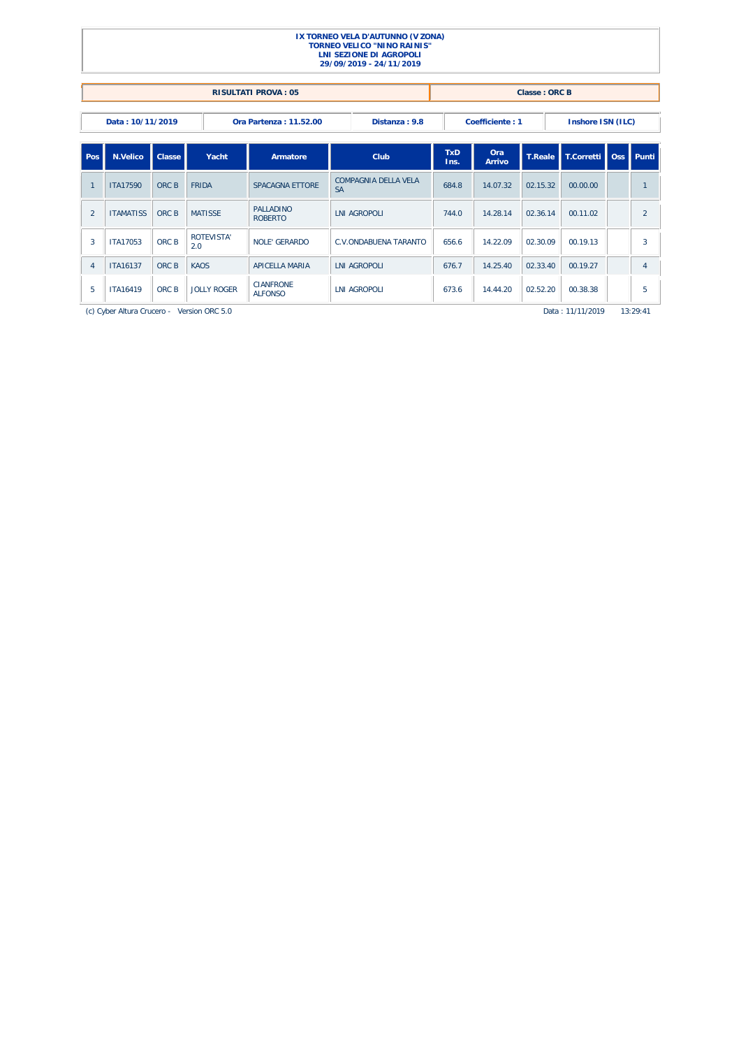|                                                                                                            |                  |        |                                            |                                    | IX TORNEO VELA D'AUTUNNO (V ZONA)<br><b>TORNEO VELICO "NINO RAINIS"</b><br><b>LNI SEZIONE DI AGROPOLI</b><br>29/09/2019 - 24/11/2019 |                    |                      |                |                      |  |                |
|------------------------------------------------------------------------------------------------------------|------------------|--------|--------------------------------------------|------------------------------------|--------------------------------------------------------------------------------------------------------------------------------------|--------------------|----------------------|----------------|----------------------|--|----------------|
|                                                                                                            |                  |        |                                            | <b>RISULTATI PROVA: 05</b>         |                                                                                                                                      |                    |                      | Classe: ORC B  |                      |  |                |
| Distanza: 9.8<br>Coefficiente: 1<br>Inshore ISN (ILC)<br>Data: 10/11/2019<br><b>Ora Partenza: 11.52.00</b> |                  |        |                                            |                                    |                                                                                                                                      |                    |                      |                |                      |  |                |
| Pos.                                                                                                       | N.Velico         | Classe | Yacht                                      | Armatore                           | Club                                                                                                                                 | <b>TxD</b><br>Ins. | Ora<br><b>Arrivo</b> | <b>T.Reale</b> | T.Corretti Oss Punti |  |                |
| $\mathbf{1}$                                                                                               | <b>ITA17590</b>  | ORC B  | <b>FRIDA</b>                               | <b>SPACAGNA ETTORE</b>             | COMPAGNIA DELLA VELA<br><b>SA</b>                                                                                                    | 684.8              | 14.07.32             | 02.15.32       | 00.00.00             |  | $\overline{1}$ |
| $\overline{2}$                                                                                             | <b>ITAMATISS</b> | ORC B  | <b>MATISSE</b>                             | <b>PALLADINO</b><br><b>ROBERTO</b> | <b>LNI AGROPOLI</b>                                                                                                                  | 744.0              | 14.28.14             | 02.36.14       | 00.11.02             |  | 2              |
| 3                                                                                                          | <b>ITA17053</b>  | ORC B  | <b>ROTEVISTA'</b><br>2.0                   | <b>NOLE' GERARDO</b>               | <b>C.V.ONDABUENA TARANTO</b>                                                                                                         | 656.6              | 14.22.09             | 02.30.09       | 00.19.13             |  | 3              |
| $\overline{4}$                                                                                             | <b>ITA16137</b>  | ORC B  | <b>KAOS</b>                                | <b>APICELLA MARIA</b>              | <b>LNI AGROPOLI</b>                                                                                                                  | 676.7              | 14.25.40             | 02.33.40       | 00.19.27             |  | $\overline{4}$ |
| 5                                                                                                          | <b>ITA16419</b>  | ORC B  | <b>JOLLY ROGER</b>                         | <b>CIANFRONE</b><br><b>ALFONSO</b> | <b>LNI AGROPOLI</b>                                                                                                                  | 673.6              | 14.44.20             | 02.52.20       | 00.38.38             |  | 5              |
|                                                                                                            |                  |        | (c) Cyber Altura Crucero - Version ORC 5.0 |                                    |                                                                                                                                      |                    |                      |                | Data: 11/11/2019     |  | 13:29:41       |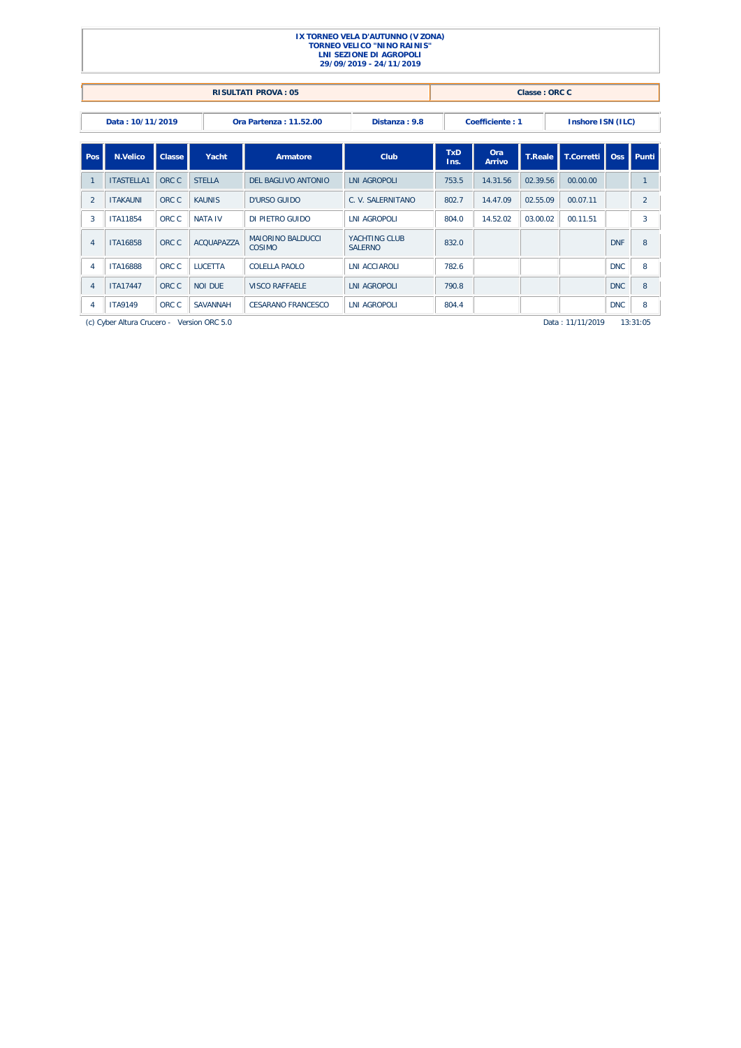|                                                                                                     | IX TORNEO VELA D'AUTUNNO (V ZONA)<br><b>TORNEO VELICO "NINO RAINIS"</b><br><b>LNI SEZIONE DI AGROPOLI</b><br>29/09/2019 - 24/11/2019 |        |                 |                                     |                                 |                    |                      |                |                   |            |                |  |  |  |
|-----------------------------------------------------------------------------------------------------|--------------------------------------------------------------------------------------------------------------------------------------|--------|-----------------|-------------------------------------|---------------------------------|--------------------|----------------------|----------------|-------------------|------------|----------------|--|--|--|
|                                                                                                     | <b>RISULTATI PROVA: 05</b><br>Classe: ORC C                                                                                          |        |                 |                                     |                                 |                    |                      |                |                   |            |                |  |  |  |
| Data: 10/11/2019<br>Ora Partenza: 11.52.00<br>Distanza: 9.8<br>Coefficiente: 1<br>Inshore ISN (ILC) |                                                                                                                                      |        |                 |                                     |                                 |                    |                      |                |                   |            |                |  |  |  |
| l Pos                                                                                               | <b>N.Velico</b>                                                                                                                      | Classe | Yacht           | Armatore                            | Club                            | <b>TxD</b><br>Ins. | Ora<br><b>Arrivo</b> | <b>T.Reale</b> | <b>T.Corretti</b> | <b>Oss</b> | Punti          |  |  |  |
| $\overline{1}$                                                                                      | <b>ITASTELLA1</b>                                                                                                                    | ORC C  | <b>STELLA</b>   | DEL BAGLIVO ANTONIO                 | <b>INI AGROPOLI</b>             | 753.5              | 14.31.56             | 02.39.56       | 00.00.00          |            | $\mathbf{1}$   |  |  |  |
| $\overline{2}$                                                                                      | <b>ITAKAUNI</b>                                                                                                                      | ORC C  | <b>KAUNIS</b>   | D'URSO GUIDO                        | C. V. SALERNITANO               | 802.7              | 14.47.09             | 02.55.09       | 00.07.11          |            | $\overline{2}$ |  |  |  |
| 3                                                                                                   | <b>ITA11854</b>                                                                                                                      | ORC C  | <b>NATA IV</b>  | DI PIETRO GUIDO                     | <b>LNI AGROPOLI</b>             | 804.0              | 14.52.02             | 03.00.02       | 00.11.51          |            | 3              |  |  |  |
| $\overline{4}$                                                                                      | <b>ITA16858</b>                                                                                                                      | ORC C  | ACOUAPA77A      | <b>MAIORINO BAI DUCCI</b><br>COSIMO | YACHTING CLUB<br><b>SALERNO</b> | 832.0              |                      |                |                   | <b>DNF</b> | 8              |  |  |  |
| $\overline{4}$                                                                                      | <b>ITA16888</b>                                                                                                                      | ORC C  | <b>I UCETTA</b> | COLELLA PAOLO                       | <b>INI ACCIAROLI</b>            | 782.6              |                      |                |                   | <b>DNC</b> | 8              |  |  |  |
| $\overline{4}$                                                                                      | <b>ITA17447</b>                                                                                                                      | ORC C  | <b>NOI DUE</b>  | <b>VISCO RAFFAELE</b>               | <b>LNI AGROPOLI</b>             | 790.8              |                      |                |                   | <b>DNC</b> | 8              |  |  |  |
| 4                                                                                                   | <b>ITA9149</b>                                                                                                                       | ORC C  | <b>SAVANNAH</b> | <b>CESARANO FRANCESCO</b>           | <b>LNI AGROPOLI</b>             | 804.4              |                      |                |                   | <b>DNC</b> | 8              |  |  |  |

(c) Cyber Altura Crucero - Version ORC 5.0 **77**Data : 11/11/2019 13:31:05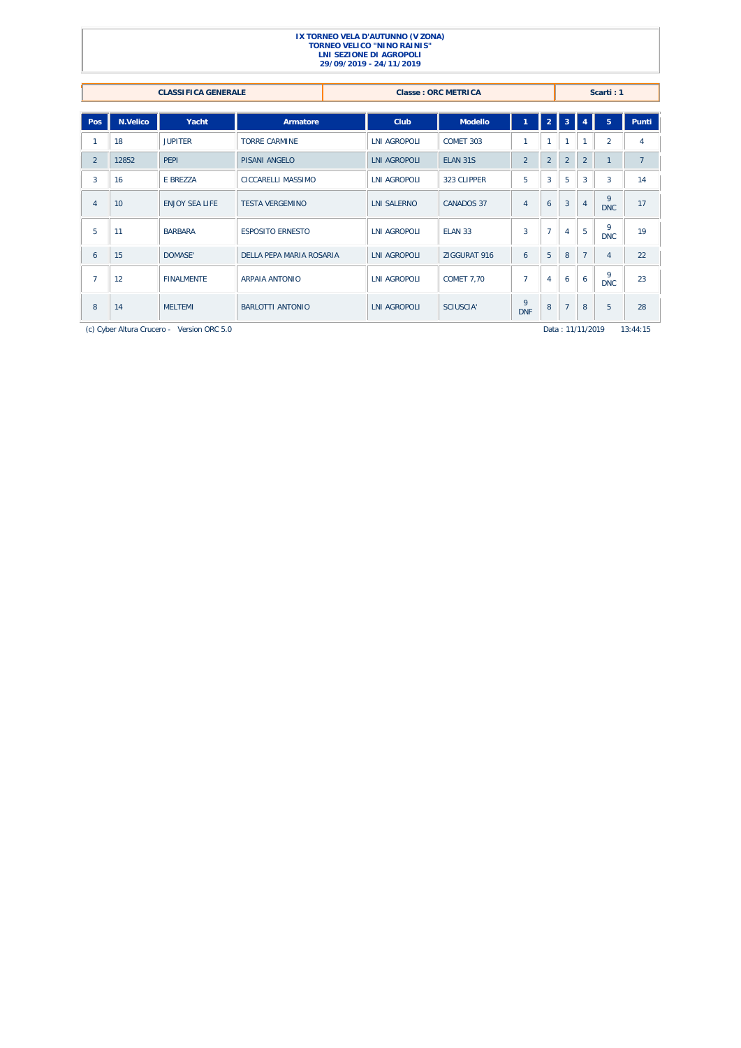### **IX TORNEO VELA D'AUTUNNO (V ZONA) TORNEO VELICO "NINO RAINIS" LNI SEZIONE DI AGROPOLI 29/09/2019 - 24/11/2019 CLASSIFICA GENERALE CLASSIFICA GENERALE Classe : ORC METRICA Scarti : 1**

| Pos            | N.Velico | Yacht                                      | Armatore                 | Club                | <b>Modello</b>    |                 | $\overline{2}$ | 3                |                | 5 <sup>1</sup>  | Punti    |
|----------------|----------|--------------------------------------------|--------------------------|---------------------|-------------------|-----------------|----------------|------------------|----------------|-----------------|----------|
|                | 18       | <b>JUPITER</b>                             | <b>TORRE CARMINE</b>     | <b>LNI AGROPOLI</b> | COMET 303         | 1               | 1              |                  |                | $\overline{a}$  | 4        |
| $\overline{2}$ | 12852    | <b>PEPI</b>                                | <b>PISANI ANGELO</b>     | <b>LNI AGROPOLI</b> | ELAN 31S          | $\overline{2}$  | $\overline{2}$ | $\overline{2}$   | $\overline{2}$ | $\mathbf{1}$    | 7        |
| 3              | 16       | E BREZZA                                   | CICCARELLI MASSIMO       | <b>LNI AGROPOLI</b> | 323 CLIPPER       | 5               | $\overline{3}$ | 5                | $\overline{3}$ | 3               | 14       |
| $\overline{4}$ | 10       | <b>ENJOY SEA LIFE</b>                      | <b>TESTA VERGEMINO</b>   | <b>LNI SALERNO</b>  | <b>CANADOS 37</b> | $\overline{4}$  | 6              | 3                | $\overline{4}$ | 9<br><b>DNC</b> | 17       |
| 5              | 11       | <b>BARBARA</b>                             | <b>ESPOSITO ERNESTO</b>  | <b>LNI AGROPOLI</b> | ELAN 33           | 3               | $\overline{7}$ | $\overline{4}$   | 5              | 9<br><b>DNC</b> | 19       |
| 6              | 15       | DOMASE'                                    | DELLA PEPA MARIA ROSARIA | <b>LNI AGROPOLI</b> | ZIGGURAT 916      | 6               | 5              | 8                | 7              | 4               | 22       |
| $\overline{7}$ | 12       | <b>FINALMENTE</b>                          | <b>ARPAIA ANTONIO</b>    | LNI AGROPOLI        | <b>COMET 7,70</b> | $\overline{7}$  | $\overline{4}$ | 6                | 6              | 9<br><b>DNC</b> | 23       |
| 8              | 14       | <b>MELTEMI</b>                             | <b>BARLOTTI ANTONIO</b>  | <b>LNI AGROPOLI</b> | SCIUSCIA'         | 9<br><b>DNF</b> | 8              | $\overline{7}$   | 8              | 5               | 28       |
|                |          | (c) Cyber Altura Crucero - Version ORC 5.0 |                          |                     |                   |                 |                | Data: 11/11/2019 |                |                 | 13:44:15 |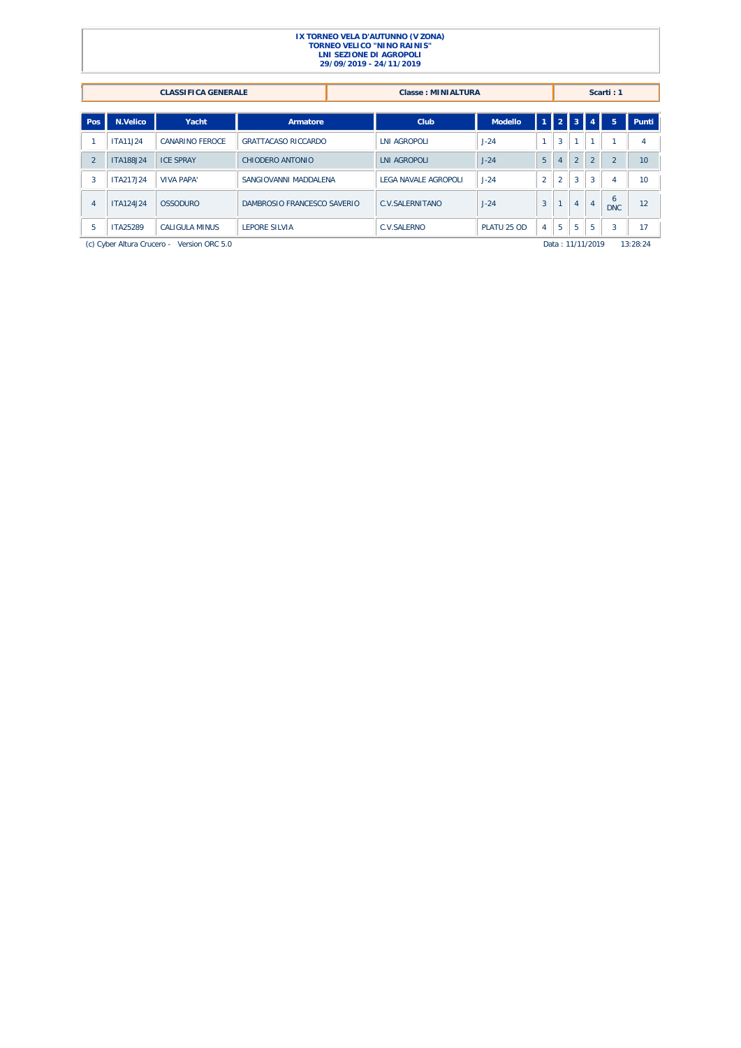|               |                                                           | <b>CLASSIFICA GENERALE</b>                 |                            |                                               | <b>Classe: MINIALTURA</b> |                |                |                  |               |                | Scarti: 1      |          |
|---------------|-----------------------------------------------------------|--------------------------------------------|----------------------------|-----------------------------------------------|---------------------------|----------------|----------------|------------------|---------------|----------------|----------------|----------|
|               |                                                           |                                            |                            |                                               |                           |                |                |                  |               |                |                |          |
| Pos           | N.Velico                                                  | Yacht                                      | Armatore                   |                                               | Club                      | Modello        | $\mathbf{1}$   |                  | $2$   $3$     |                | 5              | Punti    |
|               | <b>ITA11J24</b>                                           | <b>CANARINO FEROCE</b>                     | <b>GRATTACASO RICCARDO</b> |                                               | <b>LNI AGROPOLI</b>       | $J-24$         |                | 3                |               | м              |                | 4        |
| $\mathcal{P}$ | <b>ITA188J24</b>                                          | <b>ICE SPRAY</b>                           | CHIODERO ANTONIO           |                                               | <b>LNI AGROPOLI</b>       | $J-24$         | 5 <sup>1</sup> | 4                | $\mathcal{L}$ | $\mathfrak{D}$ | $\mathfrak{D}$ | 10       |
| 3             | ITA217.I24                                                | <b>VIVA PAPA'</b>                          |                            | LEGA NAVALE AGROPOLI<br>SANGIOVANNI MADDALENA |                           | $J-24$         | $\overline{2}$ | $\overline{2}$   | 3             | $\overline{3}$ | 4              | 10       |
| 4             | ITA124.I24                                                | <b>OSSODURO</b>                            |                            | DAMBROSIO FRANCESCO SAVERIO                   |                           | $J-24$         | $\overline{3}$ |                  | 4             | $\overline{4}$ | 6<br>DNC.      | 12       |
| 5             | <b>ITA25289</b><br>CALIGULA MINUS<br><b>LEPORE SILVIA</b> |                                            |                            | <b>C.V.SALERNO</b>                            | PLATU 25 OD               | $\overline{4}$ | 5              | 5 <sup>1</sup>   | 5             | 3              | 17             |          |
|               |                                                           | (c) Cyber Altura Crucero - Version ORC 5.0 |                            |                                               |                           |                |                | Data: 11/11/2019 |               |                |                | 13:28:24 |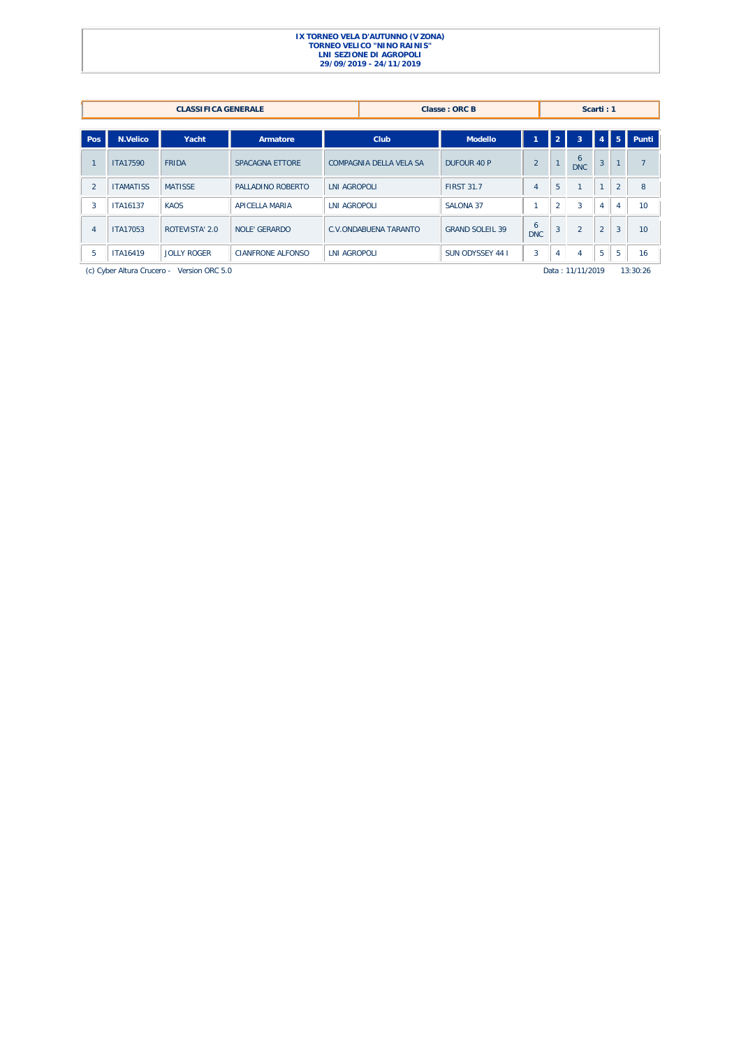|                |                  | <b>CLASSIFICA GENERALE</b>                 |                          |                              |                         | Classe: ORC B          |                 |                |                  | Scarti: 1      |                |                |
|----------------|------------------|--------------------------------------------|--------------------------|------------------------------|-------------------------|------------------------|-----------------|----------------|------------------|----------------|----------------|----------------|
| Pos            | <b>N.Velico</b>  | Yacht                                      |                          |                              | Club                    | <b>Modello</b>         |                 | $\overline{2}$ | $\overline{3}$   | $\overline{4}$ | $\mathsf{L}5$  | Punti          |
|                |                  |                                            | Armatore                 |                              |                         |                        |                 |                |                  |                |                |                |
|                | <b>ITA17590</b>  | <b>FRIDA</b>                               | SPACAGNA ETTORE          |                              | COMPAGNIA DELLA VELA SA | DUFOUR 40 P            | $\overline{2}$  |                | 6<br><b>DNC</b>  | $\overline{3}$ |                | $\overline{ }$ |
| $\mathfrak{D}$ | <b>ITAMATISS</b> | <b>MATISSE</b>                             | PALLADINO ROBERTO        | <b>LNI AGROPOLI</b>          |                         | <b>FIRST 31.7</b>      | $\overline{4}$  | 5              |                  | $\overline{a}$ | $\overline{2}$ | 8              |
| 3              | ITA16137         | <b>KAOS</b>                                | APICELLA MARIA           | <b>LNI AGROPOLI</b>          |                         | SALONA 37              |                 | $\overline{2}$ | 3                | $\overline{4}$ | $\overline{4}$ | 10             |
| $\overline{4}$ | ITA17053         | ROTEVISTA' 2.0                             | <b>NOLE' GERARDO</b>     | <b>C.V.ONDABUENA TARANTO</b> |                         | <b>GRAND SOLEIL 39</b> | 6<br><b>DNC</b> | 3              | $\overline{2}$   | $\overline{2}$ | $\overline{3}$ | 10             |
| 5              | <b>ITA16419</b>  | <b>JOLLY ROGER</b>                         | <b>CIANFRONE ALFONSO</b> | <b>LNI AGROPOLI</b>          |                         | SUN ODYSSEY 44 I       | $\overline{3}$  | 4              | 4                | 5              | 5              | 16             |
|                |                  | (c) Cyber Altura Crucero - Version ORC 5.0 |                          |                              |                         |                        |                 |                | Data: 11/11/2019 |                |                | 13:30:26       |